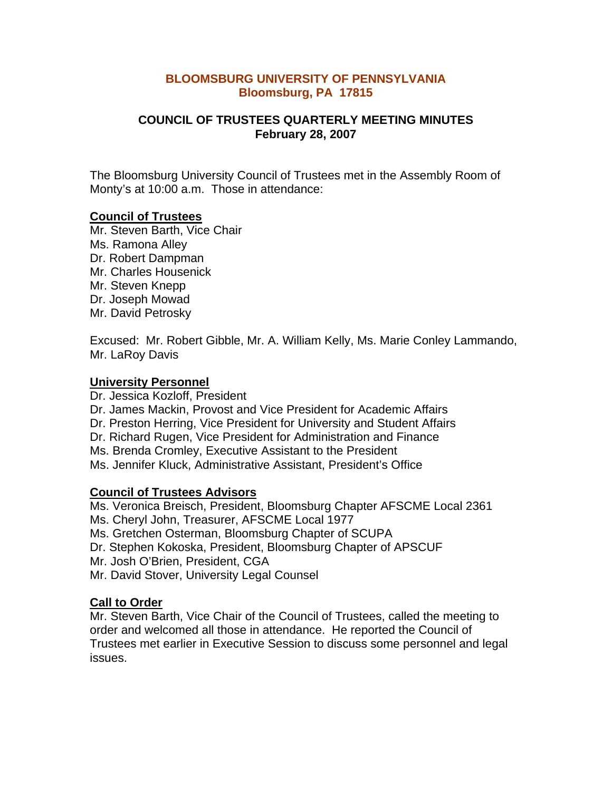#### **BLOOMSBURG UNIVERSITY OF PENNSYLVANIA Bloomsburg, PA 17815**

## **COUNCIL OF TRUSTEES QUARTERLY MEETING MINUTES February 28, 2007**

The Bloomsburg University Council of Trustees met in the Assembly Room of Monty's at 10:00 a.m. Those in attendance:

## **Council of Trustees**

Mr. Steven Barth, Vice Chair Ms. Ramona Alley Dr. Robert Dampman Mr. Charles Housenick Mr. Steven Knepp Dr. Joseph Mowad Mr. David Petrosky

Excused: Mr. Robert Gibble, Mr. A. William Kelly, Ms. Marie Conley Lammando, Mr. LaRoy Davis

#### **University Personnel**

Dr. Jessica Kozloff, President Dr. James Mackin, Provost and Vice President for Academic Affairs Dr. Preston Herring, Vice President for University and Student Affairs Dr. Richard Rugen, Vice President for Administration and Finance Ms. Brenda Cromley, Executive Assistant to the President Ms. Jennifer Kluck, Administrative Assistant, President's Office

## **Council of Trustees Advisors**

Ms. Veronica Breisch, President, Bloomsburg Chapter AFSCME Local 2361 Ms. Cheryl John, Treasurer, AFSCME Local 1977 Ms. Gretchen Osterman, Bloomsburg Chapter of SCUPA Dr. Stephen Kokoska, President, Bloomsburg Chapter of APSCUF Mr. Josh O'Brien, President, CGA Mr. David Stover, University Legal Counsel

#### **Call to Order**

Mr. Steven Barth, Vice Chair of the Council of Trustees, called the meeting to order and welcomed all those in attendance. He reported the Council of Trustees met earlier in Executive Session to discuss some personnel and legal issues.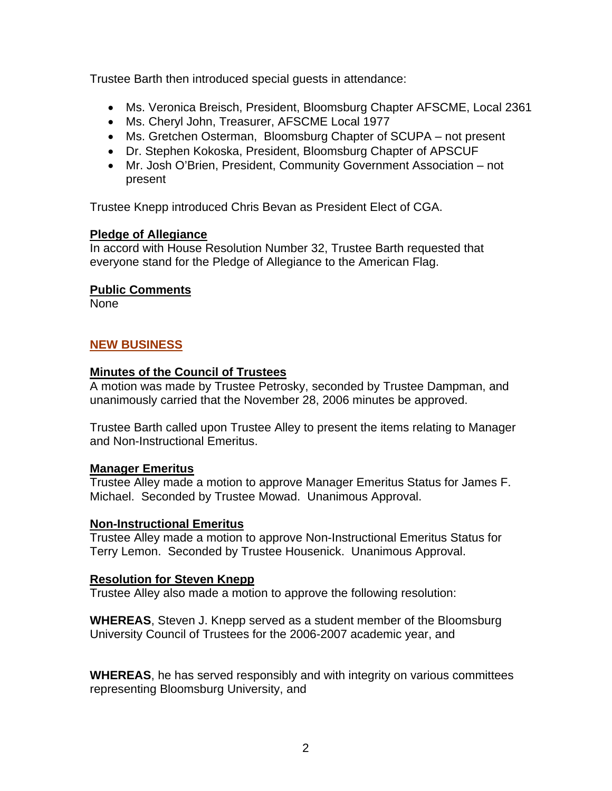Trustee Barth then introduced special guests in attendance:

- Ms. Veronica Breisch, President, Bloomsburg Chapter AFSCME, Local 2361
- Ms. Cheryl John, Treasurer, AFSCME Local 1977
- Ms. Gretchen Osterman, Bloomsburg Chapter of SCUPA not present
- Dr. Stephen Kokoska, President, Bloomsburg Chapter of APSCUF
- Mr. Josh O'Brien, President, Community Government Association not present

Trustee Knepp introduced Chris Bevan as President Elect of CGA.

## **Pledge of Allegiance**

In accord with House Resolution Number 32, Trustee Barth requested that everyone stand for the Pledge of Allegiance to the American Flag.

## **Public Comments**

None

# **NEW BUSINESS**

## **Minutes of the Council of Trustees**

A motion was made by Trustee Petrosky, seconded by Trustee Dampman, and unanimously carried that the November 28, 2006 minutes be approved.

Trustee Barth called upon Trustee Alley to present the items relating to Manager and Non-Instructional Emeritus.

# **Manager Emeritus**

Trustee Alley made a motion to approve Manager Emeritus Status for James F. Michael. Seconded by Trustee Mowad. Unanimous Approval.

## **Non-Instructional Emeritus**

Trustee Alley made a motion to approve Non-Instructional Emeritus Status for Terry Lemon. Seconded by Trustee Housenick. Unanimous Approval.

## **Resolution for Steven Knepp**

Trustee Alley also made a motion to approve the following resolution:

**WHEREAS**, Steven J. Knepp served as a student member of the Bloomsburg University Council of Trustees for the 2006-2007 academic year, and

**WHEREAS**, he has served responsibly and with integrity on various committees representing Bloomsburg University, and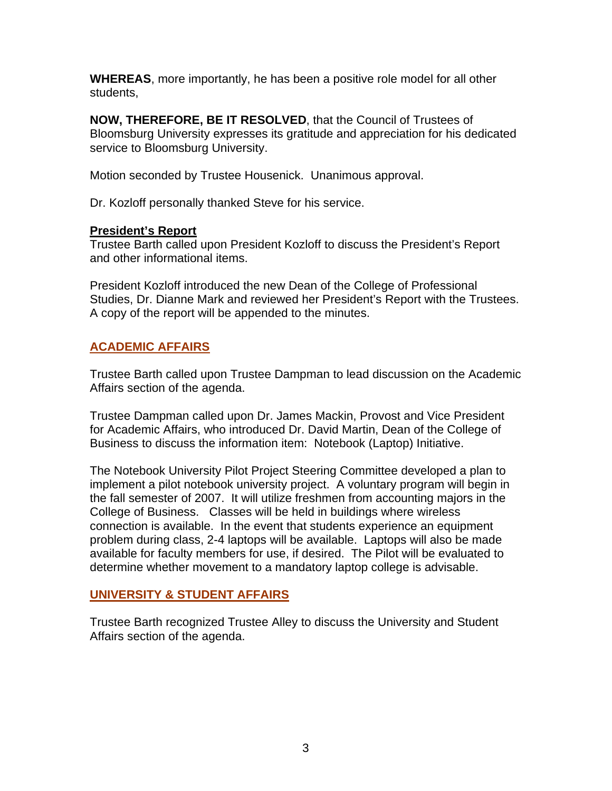**WHEREAS**, more importantly, he has been a positive role model for all other students,

**NOW, THEREFORE, BE IT RESOLVED**, that the Council of Trustees of Bloomsburg University expresses its gratitude and appreciation for his dedicated service to Bloomsburg University.

Motion seconded by Trustee Housenick. Unanimous approval.

Dr. Kozloff personally thanked Steve for his service.

#### **President's Report**

Trustee Barth called upon President Kozloff to discuss the President's Report and other informational items.

President Kozloff introduced the new Dean of the College of Professional Studies, Dr. Dianne Mark and reviewed her President's Report with the Trustees. A copy of the report will be appended to the minutes.

## **ACADEMIC AFFAIRS**

Trustee Barth called upon Trustee Dampman to lead discussion on the Academic Affairs section of the agenda.

Trustee Dampman called upon Dr. James Mackin, Provost and Vice President for Academic Affairs, who introduced Dr. David Martin, Dean of the College of Business to discuss the information item: Notebook (Laptop) Initiative.

The Notebook University Pilot Project Steering Committee developed a plan to implement a pilot notebook university project. A voluntary program will begin in the fall semester of 2007. It will utilize freshmen from accounting majors in the College of Business. Classes will be held in buildings where wireless connection is available. In the event that students experience an equipment problem during class, 2-4 laptops will be available. Laptops will also be made available for faculty members for use, if desired. The Pilot will be evaluated to determine whether movement to a mandatory laptop college is advisable.

## **UNIVERSITY & STUDENT AFFAIRS**

Trustee Barth recognized Trustee Alley to discuss the University and Student Affairs section of the agenda.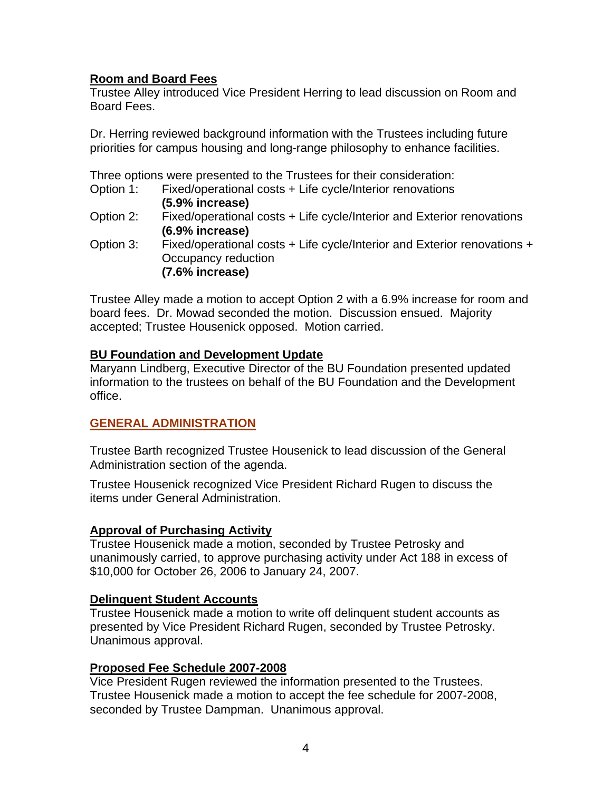# **Room and Board Fees**

Trustee Alley introduced Vice President Herring to lead discussion on Room and Board Fees.

Dr. Herring reviewed background information with the Trustees including future priorities for campus housing and long-range philosophy to enhance facilities.

Three options were presented to the Trustees for their consideration:

- Option 1: Fixed/operational costs + Life cycle/Interior renovations **(5.9% increase)**
- Option 2: Fixed/operational costs + Life cycle/Interior and Exterior renovations **(6.9% increase)**
- Option 3: Fixed/operational costs + Life cycle/Interior and Exterior renovations + Occupancy reduction **(7.6% increase)**

Trustee Alley made a motion to accept Option 2 with a 6.9% increase for room and board fees. Dr. Mowad seconded the motion. Discussion ensued. Majority accepted; Trustee Housenick opposed. Motion carried.

## **BU Foundation and Development Update**

Maryann Lindberg, Executive Director of the BU Foundation presented updated information to the trustees on behalf of the BU Foundation and the Development office.

# **GENERAL ADMINISTRATION**

Trustee Barth recognized Trustee Housenick to lead discussion of the General Administration section of the agenda.

Trustee Housenick recognized Vice President Richard Rugen to discuss the items under General Administration.

# **Approval of Purchasing Activity**

Trustee Housenick made a motion, seconded by Trustee Petrosky and unanimously carried, to approve purchasing activity under Act 188 in excess of \$10,000 for October 26, 2006 to January 24, 2007.

## **Delinquent Student Accounts**

Trustee Housenick made a motion to write off delinquent student accounts as presented by Vice President Richard Rugen, seconded by Trustee Petrosky. Unanimous approval.

## **Proposed Fee Schedule 2007-2008**

Vice President Rugen reviewed the information presented to the Trustees. Trustee Housenick made a motion to accept the fee schedule for 2007-2008, seconded by Trustee Dampman. Unanimous approval.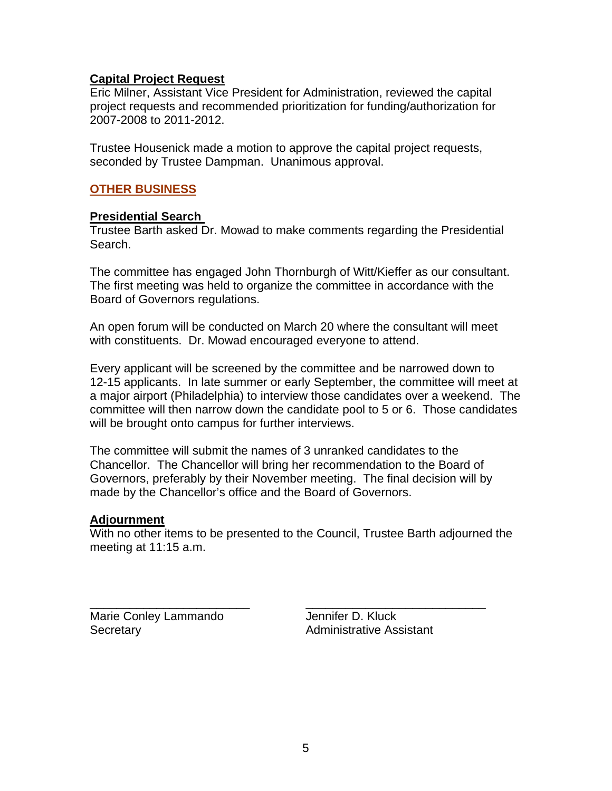## **Capital Project Request**

Eric Milner, Assistant Vice President for Administration, reviewed the capital project requests and recommended prioritization for funding/authorization for 2007-2008 to 2011-2012.

Trustee Housenick made a motion to approve the capital project requests, seconded by Trustee Dampman. Unanimous approval.

## **OTHER BUSINESS**

#### **Presidential Search**

Trustee Barth asked Dr. Mowad to make comments regarding the Presidential Search.

The committee has engaged John Thornburgh of Witt/Kieffer as our consultant. The first meeting was held to organize the committee in accordance with the Board of Governors regulations.

An open forum will be conducted on March 20 where the consultant will meet with constituents. Dr. Mowad encouraged everyone to attend.

Every applicant will be screened by the committee and be narrowed down to 12-15 applicants. In late summer or early September, the committee will meet at a major airport (Philadelphia) to interview those candidates over a weekend. The committee will then narrow down the candidate pool to 5 or 6. Those candidates will be brought onto campus for further interviews.

The committee will submit the names of 3 unranked candidates to the Chancellor. The Chancellor will bring her recommendation to the Board of Governors, preferably by their November meeting. The final decision will by made by the Chancellor's office and the Board of Governors.

#### **Adjournment**

With no other items to be presented to the Council, Trustee Barth adjourned the meeting at 11:15 a.m.

\_\_\_\_\_\_\_\_\_\_\_\_\_\_\_\_\_\_\_\_\_\_\_\_ \_\_\_\_\_\_\_\_\_\_\_\_\_\_\_\_\_\_\_\_\_\_\_\_\_\_\_ Marie Conley Lammando **Jennifer D. Kluck** Secretary **Administrative Assistant**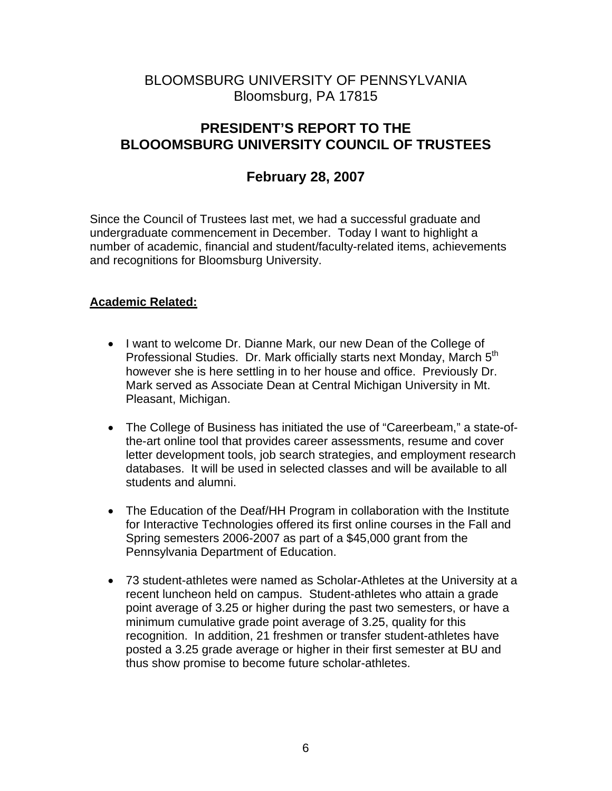# BLOOMSBURG UNIVERSITY OF PENNSYLVANIA Bloomsburg, PA 17815

# **PRESIDENT'S REPORT TO THE BLOOOMSBURG UNIVERSITY COUNCIL OF TRUSTEES**

# **February 28, 2007**

Since the Council of Trustees last met, we had a successful graduate and undergraduate commencement in December. Today I want to highlight a number of academic, financial and student/faculty-related items, achievements and recognitions for Bloomsburg University.

## **Academic Related:**

- I want to welcome Dr. Dianne Mark, our new Dean of the College of Professional Studies. Dr. Mark officially starts next Monday, March 5<sup>th</sup> however she is here settling in to her house and office. Previously Dr. Mark served as Associate Dean at Central Michigan University in Mt. Pleasant, Michigan.
- The College of Business has initiated the use of "Careerbeam," a state-ofthe-art online tool that provides career assessments, resume and cover letter development tools, job search strategies, and employment research databases. It will be used in selected classes and will be available to all students and alumni.
- The Education of the Deaf/HH Program in collaboration with the Institute for Interactive Technologies offered its first online courses in the Fall and Spring semesters 2006-2007 as part of a \$45,000 grant from the Pennsylvania Department of Education.
- 73 student-athletes were named as Scholar-Athletes at the University at a recent luncheon held on campus. Student-athletes who attain a grade point average of 3.25 or higher during the past two semesters, or have a minimum cumulative grade point average of 3.25, quality for this recognition. In addition, 21 freshmen or transfer student-athletes have posted a 3.25 grade average or higher in their first semester at BU and thus show promise to become future scholar-athletes.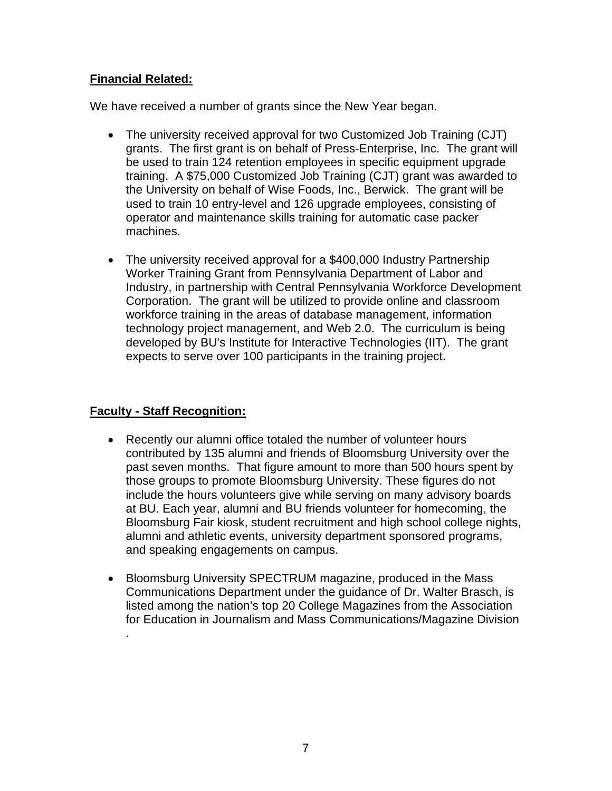# **Financial Related:**

We have received a number of grants since the New Year began.

- The university received approval for two Customized Job Training (CJT) grants. The first grant is on behalf of Press-Enterprise, Inc. The grant will be used to train 124 retention employees in specific equipment upgrade training. A \$75,000 Customized Job Training (CJT) grant was awarded to the University on behalf of Wise Foods, Inc., Berwick. The grant will be used to train 10 entry-level and 126 upgrade employees, consisting of operator and maintenance skills training for automatic case packer machines.
- The university received approval for a \$400,000 Industry Partnership Worker Training Grant from Pennsylvania Department of Labor and Industry, in partnership with Central Pennsylvania Workforce Development Corporation. The grant will be utilized to provide online and classroom workforce training in the areas of database management, information technology project management, and Web 2.0. The curriculum is being developed by BU's Institute for Interactive Technologies (IIT). The grant expects to serve over 100 participants in the training project.

# **Faculty - Staff Recognition:**

.

- Recently our alumni office totaled the number of volunteer hours contributed by 135 alumni and friends of Bloomsburg University over the past seven months. That figure amount to more than 500 hours spent by those groups to promote Bloomsburg University. These figures do not include the hours volunteers give while serving on many advisory boards at BU. Each year, alumni and BU friends volunteer for homecoming, the Bloomsburg Fair kiosk, student recruitment and high school college nights, alumni and athletic events, university department sponsored programs, and speaking engagements on campus.
- Bloomsburg University SPECTRUM magazine, produced in the Mass Communications Department under the guidance of Dr. Walter Brasch, is listed among the nation's top 20 College Magazines from the Association for Education in Journalism and Mass Communications/Magazine Division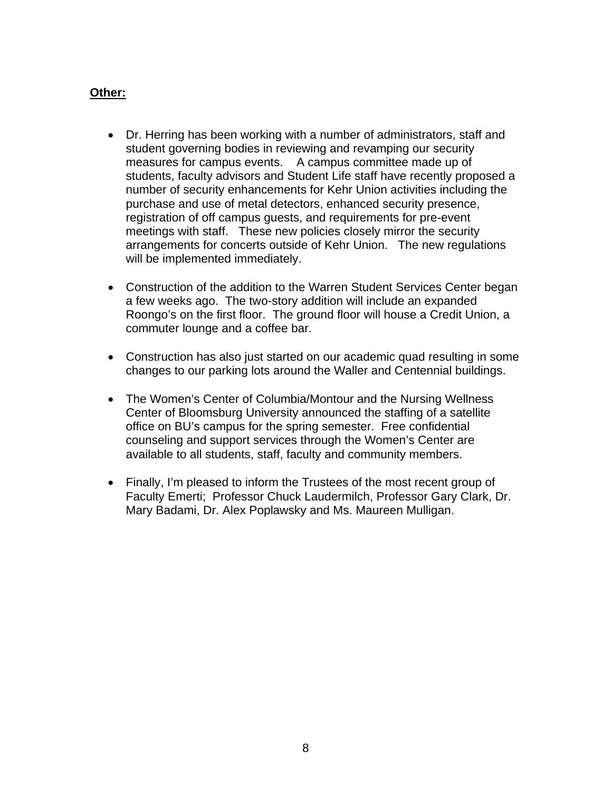## **Other:**

- Dr. Herring has been working with a number of administrators, staff and student governing bodies in reviewing and revamping our security measures for campus events. A campus committee made up of students, faculty advisors and Student Life staff have recently proposed a number of security enhancements for Kehr Union activities including the purchase and use of metal detectors, enhanced security presence, registration of off campus guests, and requirements for pre-event meetings with staff. These new policies closely mirror the security arrangements for concerts outside of Kehr Union. The new regulations will be implemented immediately.
- Construction of the addition to the Warren Student Services Center began a few weeks ago. The two-story addition will include an expanded Roongo's on the first floor. The ground floor will house a Credit Union, a commuter lounge and a coffee bar.
- Construction has also just started on our academic quad resulting in some changes to our parking lots around the Waller and Centennial buildings.
- The Women's Center of Columbia/Montour and the Nursing Wellness Center of Bloomsburg University announced the staffing of a satellite office on BU's campus for the spring semester. Free confidential counseling and support services through the Women's Center are available to all students, staff, faculty and community members.
- Finally, I'm pleased to inform the Trustees of the most recent group of Faculty Emerti; Professor Chuck Laudermilch, Professor Gary Clark, Dr. Mary Badami, Dr. Alex Poplawsky and Ms. Maureen Mulligan.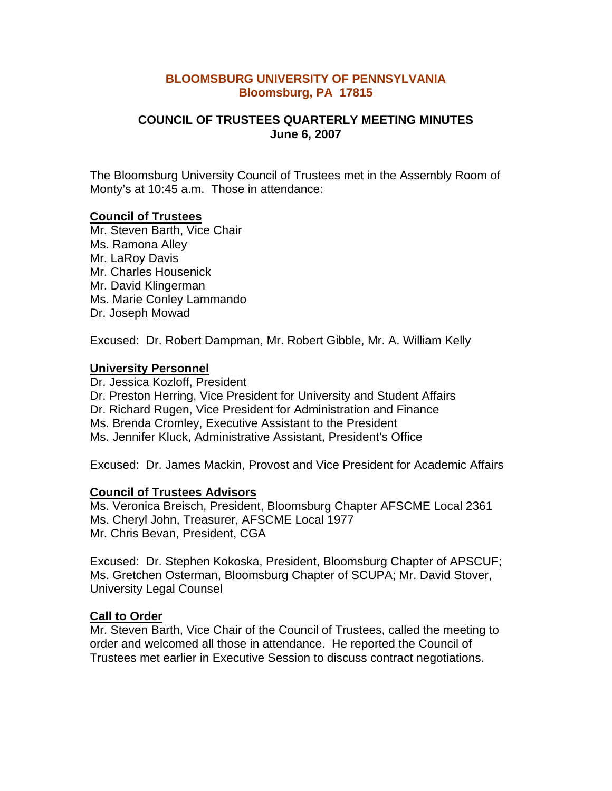#### **BLOOMSBURG UNIVERSITY OF PENNSYLVANIA Bloomsburg, PA 17815**

## **COUNCIL OF TRUSTEES QUARTERLY MEETING MINUTES June 6, 2007**

The Bloomsburg University Council of Trustees met in the Assembly Room of Monty's at 10:45 a.m. Those in attendance:

#### **Council of Trustees**

Mr. Steven Barth, Vice Chair Ms. Ramona Alley Mr. LaRoy Davis Mr. Charles Housenick Mr. David Klingerman Ms. Marie Conley Lammando Dr. Joseph Mowad

Excused: Dr. Robert Dampman, Mr. Robert Gibble, Mr. A. William Kelly

#### **University Personnel**

Dr. Jessica Kozloff, President Dr. Preston Herring, Vice President for University and Student Affairs Dr. Richard Rugen, Vice President for Administration and Finance Ms. Brenda Cromley, Executive Assistant to the President Ms. Jennifer Kluck, Administrative Assistant, President's Office

Excused: Dr. James Mackin, Provost and Vice President for Academic Affairs

#### **Council of Trustees Advisors**

Ms. Veronica Breisch, President, Bloomsburg Chapter AFSCME Local 2361 Ms. Cheryl John, Treasurer, AFSCME Local 1977 Mr. Chris Bevan, President, CGA

Excused: Dr. Stephen Kokoska, President, Bloomsburg Chapter of APSCUF; Ms. Gretchen Osterman, Bloomsburg Chapter of SCUPA; Mr. David Stover, University Legal Counsel

#### **Call to Order**

Mr. Steven Barth, Vice Chair of the Council of Trustees, called the meeting to order and welcomed all those in attendance. He reported the Council of Trustees met earlier in Executive Session to discuss contract negotiations.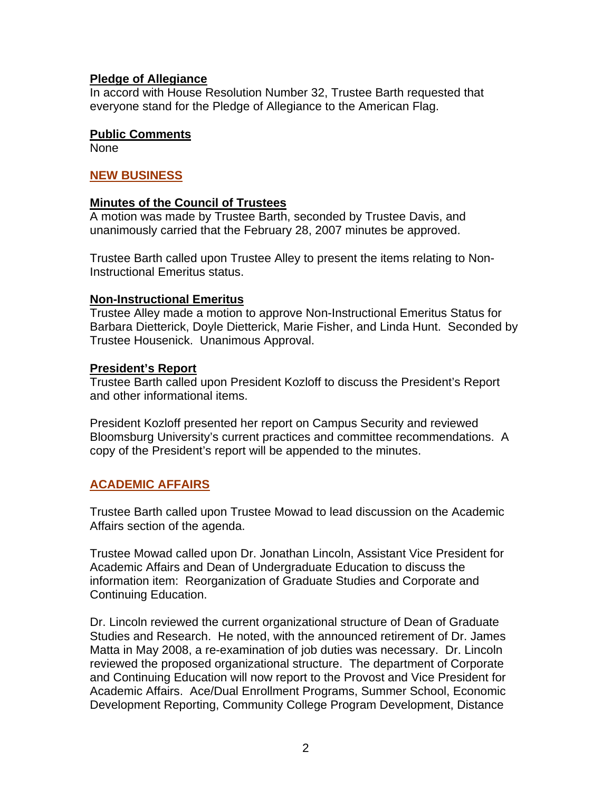#### **Pledge of Allegiance**

In accord with House Resolution Number 32, Trustee Barth requested that everyone stand for the Pledge of Allegiance to the American Flag.

#### **Public Comments**

None

#### **NEW BUSINESS**

#### **Minutes of the Council of Trustees**

A motion was made by Trustee Barth, seconded by Trustee Davis, and unanimously carried that the February 28, 2007 minutes be approved.

Trustee Barth called upon Trustee Alley to present the items relating to Non-Instructional Emeritus status.

#### **Non-Instructional Emeritus**

Trustee Alley made a motion to approve Non-Instructional Emeritus Status for Barbara Dietterick, Doyle Dietterick, Marie Fisher, and Linda Hunt. Seconded by Trustee Housenick. Unanimous Approval.

#### **President's Report**

Trustee Barth called upon President Kozloff to discuss the President's Report and other informational items.

President Kozloff presented her report on Campus Security and reviewed Bloomsburg University's current practices and committee recommendations. A copy of the President's report will be appended to the minutes.

## **ACADEMIC AFFAIRS**

Trustee Barth called upon Trustee Mowad to lead discussion on the Academic Affairs section of the agenda.

Trustee Mowad called upon Dr. Jonathan Lincoln, Assistant Vice President for Academic Affairs and Dean of Undergraduate Education to discuss the information item: Reorganization of Graduate Studies and Corporate and Continuing Education.

Dr. Lincoln reviewed the current organizational structure of Dean of Graduate Studies and Research. He noted, with the announced retirement of Dr. James Matta in May 2008, a re-examination of job duties was necessary. Dr. Lincoln reviewed the proposed organizational structure. The department of Corporate and Continuing Education will now report to the Provost and Vice President for Academic Affairs. Ace/Dual Enrollment Programs, Summer School, Economic Development Reporting, Community College Program Development, Distance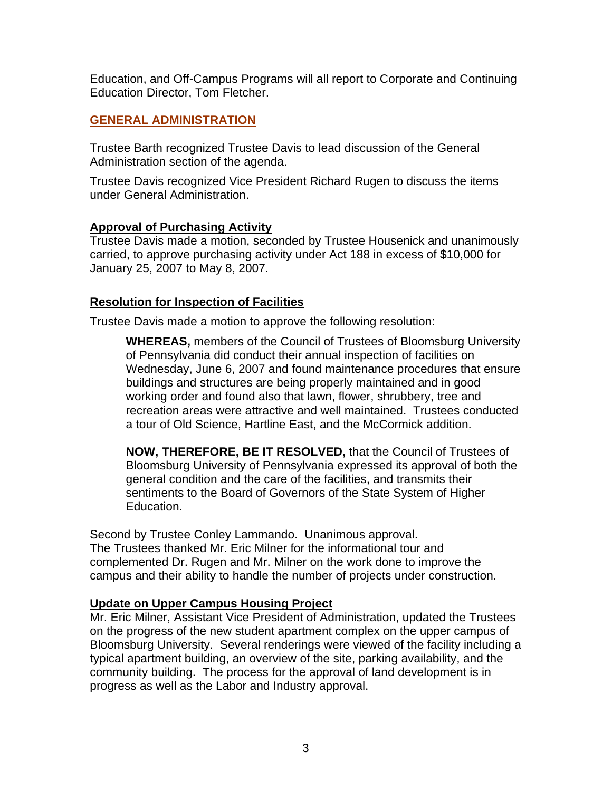Education, and Off-Campus Programs will all report to Corporate and Continuing Education Director, Tom Fletcher.

## **GENERAL ADMINISTRATION**

Trustee Barth recognized Trustee Davis to lead discussion of the General Administration section of the agenda.

Trustee Davis recognized Vice President Richard Rugen to discuss the items under General Administration.

## **Approval of Purchasing Activity**

Trustee Davis made a motion, seconded by Trustee Housenick and unanimously carried, to approve purchasing activity under Act 188 in excess of \$10,000 for January 25, 2007 to May 8, 2007.

## **Resolution for Inspection of Facilities**

Trustee Davis made a motion to approve the following resolution:

**WHEREAS,** members of the Council of Trustees of Bloomsburg University of Pennsylvania did conduct their annual inspection of facilities on Wednesday, June 6, 2007 and found maintenance procedures that ensure buildings and structures are being properly maintained and in good working order and found also that lawn, flower, shrubbery, tree and recreation areas were attractive and well maintained. Trustees conducted a tour of Old Science, Hartline East, and the McCormick addition.

**NOW, THEREFORE, BE IT RESOLVED,** that the Council of Trustees of Bloomsburg University of Pennsylvania expressed its approval of both the general condition and the care of the facilities, and transmits their sentiments to the Board of Governors of the State System of Higher Education.

Second by Trustee Conley Lammando. Unanimous approval. The Trustees thanked Mr. Eric Milner for the informational tour and complemented Dr. Rugen and Mr. Milner on the work done to improve the campus and their ability to handle the number of projects under construction.

## **Update on Upper Campus Housing Project**

Mr. Eric Milner, Assistant Vice President of Administration, updated the Trustees on the progress of the new student apartment complex on the upper campus of Bloomsburg University. Several renderings were viewed of the facility including a typical apartment building, an overview of the site, parking availability, and the community building. The process for the approval of land development is in progress as well as the Labor and Industry approval.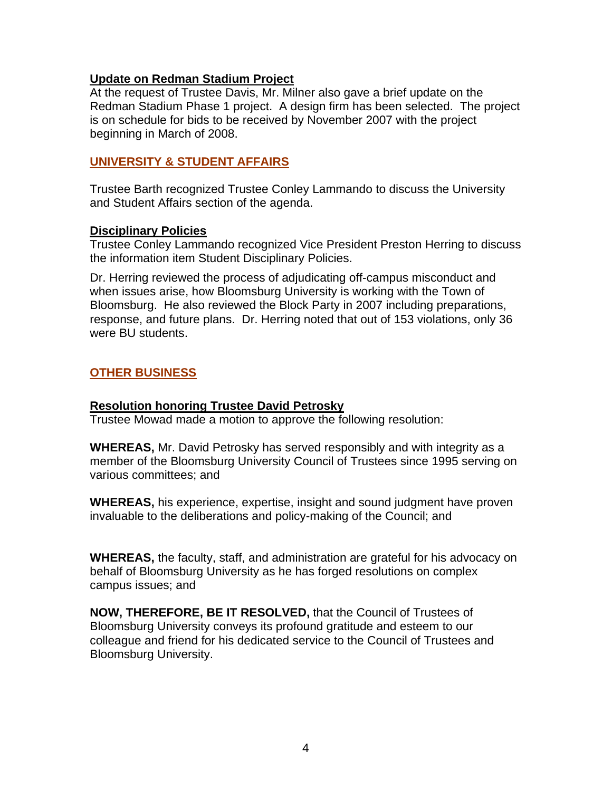#### **Update on Redman Stadium Project**

At the request of Trustee Davis, Mr. Milner also gave a brief update on the Redman Stadium Phase 1 project. A design firm has been selected. The project is on schedule for bids to be received by November 2007 with the project beginning in March of 2008.

## **UNIVERSITY & STUDENT AFFAIRS**

Trustee Barth recognized Trustee Conley Lammando to discuss the University and Student Affairs section of the agenda.

#### **Disciplinary Policies**

Trustee Conley Lammando recognized Vice President Preston Herring to discuss the information item Student Disciplinary Policies.

Dr. Herring reviewed the process of adjudicating off-campus misconduct and when issues arise, how Bloomsburg University is working with the Town of Bloomsburg. He also reviewed the Block Party in 2007 including preparations, response, and future plans. Dr. Herring noted that out of 153 violations, only 36 were BU students.

# **OTHER BUSINESS**

## **Resolution honoring Trustee David Petrosky**

Trustee Mowad made a motion to approve the following resolution:

**WHEREAS,** Mr. David Petrosky has served responsibly and with integrity as a member of the Bloomsburg University Council of Trustees since 1995 serving on various committees; and

**WHEREAS,** his experience, expertise, insight and sound judgment have proven invaluable to the deliberations and policy-making of the Council; and

**WHEREAS,** the faculty, staff, and administration are grateful for his advocacy on behalf of Bloomsburg University as he has forged resolutions on complex campus issues; and

**NOW, THEREFORE, BE IT RESOLVED,** that the Council of Trustees of Bloomsburg University conveys its profound gratitude and esteem to our colleague and friend for his dedicated service to the Council of Trustees and Bloomsburg University.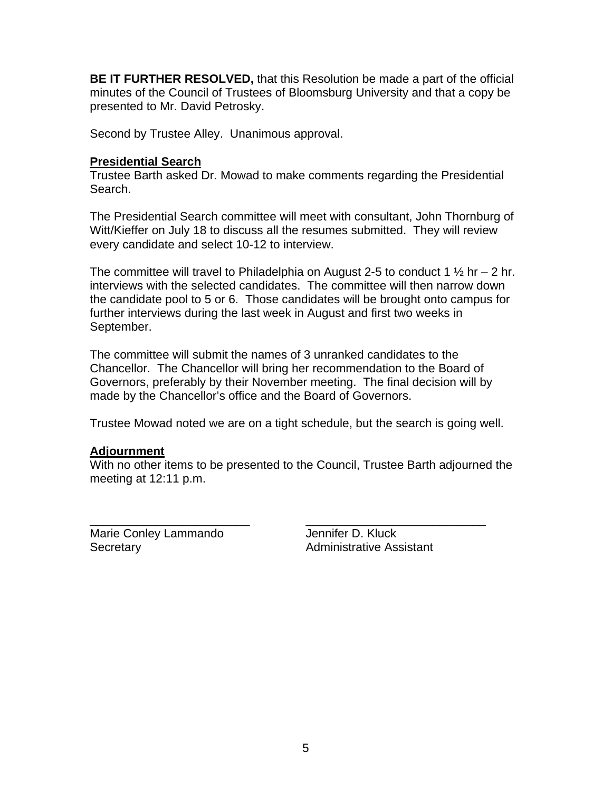**BE IT FURTHER RESOLVED,** that this Resolution be made a part of the official minutes of the Council of Trustees of Bloomsburg University and that a copy be presented to Mr. David Petrosky.

Second by Trustee Alley. Unanimous approval.

## **Presidential Search**

Trustee Barth asked Dr. Mowad to make comments regarding the Presidential Search.

The Presidential Search committee will meet with consultant, John Thornburg of Witt/Kieffer on July 18 to discuss all the resumes submitted. They will review every candidate and select 10-12 to interview.

The committee will travel to Philadelphia on August 2-5 to conduct 1  $\frac{1}{2}$  hr – 2 hr. interviews with the selected candidates. The committee will then narrow down the candidate pool to 5 or 6. Those candidates will be brought onto campus for further interviews during the last week in August and first two weeks in September.

The committee will submit the names of 3 unranked candidates to the Chancellor. The Chancellor will bring her recommendation to the Board of Governors, preferably by their November meeting. The final decision will by made by the Chancellor's office and the Board of Governors.

Trustee Mowad noted we are on a tight schedule, but the search is going well.

## **Adjournment**

With no other items to be presented to the Council, Trustee Barth adjourned the meeting at 12:11 p.m.

\_\_\_\_\_\_\_\_\_\_\_\_\_\_\_\_\_\_\_\_\_\_\_\_ \_\_\_\_\_\_\_\_\_\_\_\_\_\_\_\_\_\_\_\_\_\_\_\_\_\_\_

Marie Conley Lammando Jennifer D. Kluck Secretary **Administrative Assistant**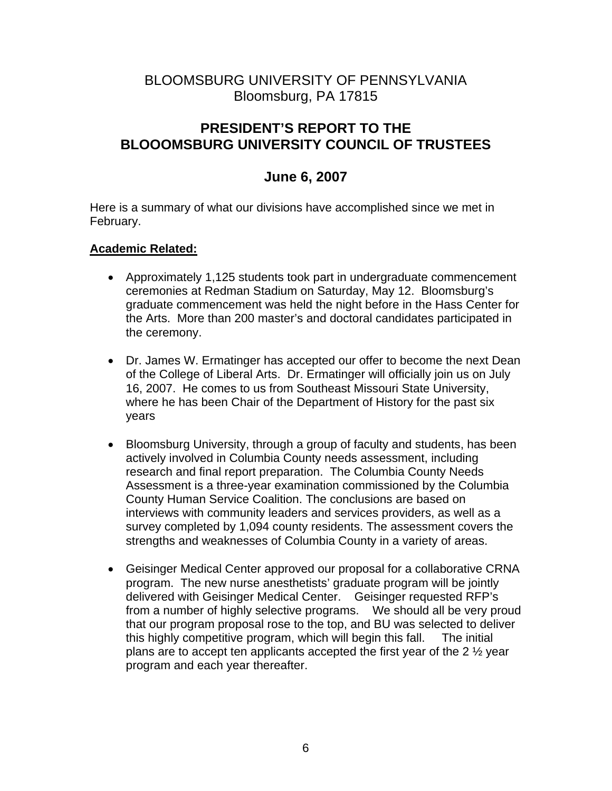# BLOOMSBURG UNIVERSITY OF PENNSYLVANIA Bloomsburg, PA 17815

# **PRESIDENT'S REPORT TO THE BLOOOMSBURG UNIVERSITY COUNCIL OF TRUSTEES**

# **June 6, 2007**

Here is a summary of what our divisions have accomplished since we met in February.

# **Academic Related:**

- Approximately 1,125 students took part in undergraduate commencement ceremonies at Redman Stadium on Saturday, May 12. Bloomsburg's graduate commencement was held the night before in the Hass Center for the Arts. More than 200 master's and doctoral candidates participated in the ceremony.
- Dr. James W. Ermatinger has accepted our offer to become the next Dean of the College of Liberal Arts. Dr. Ermatinger will officially join us on July 16, 2007. He comes to us from Southeast Missouri State University, where he has been Chair of the Department of History for the past six years
- Bloomsburg University, through a group of faculty and students, has been actively involved in Columbia County needs assessment, including research and final report preparation. The Columbia County Needs Assessment is a three-year examination commissioned by the Columbia County Human Service Coalition. The conclusions are based on interviews with community leaders and services providers, as well as a survey completed by 1,094 county residents. The assessment covers the strengths and weaknesses of Columbia County in a variety of areas.
- Geisinger Medical Center approved our proposal for a collaborative CRNA program. The new nurse anesthetists' graduate program will be jointly delivered with Geisinger Medical Center. Geisinger requested RFP's from a number of highly selective programs. We should all be very proud that our program proposal rose to the top, and BU was selected to deliver this highly competitive program, which will begin this fall. The initial plans are to accept ten applicants accepted the first year of the 2 ½ year program and each year thereafter.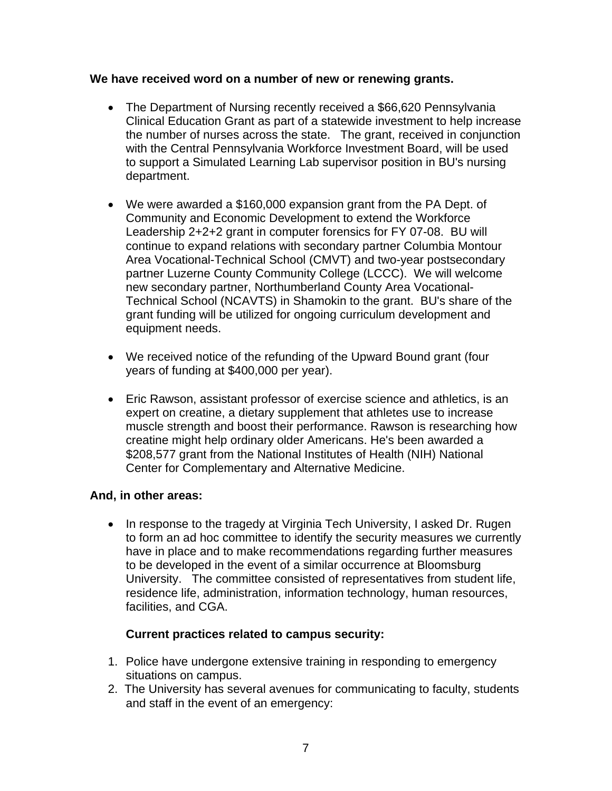## **We have received word on a number of new or renewing grants.**

- The Department of Nursing recently received a \$66,620 Pennsylvania Clinical Education Grant as part of a statewide investment to help increase the number of nurses across the state. The grant, received in conjunction with the Central Pennsylvania Workforce Investment Board, will be used to support a Simulated Learning Lab supervisor position in BU's nursing department.
- We were awarded a \$160,000 expansion grant from the PA Dept. of Community and Economic Development to extend the Workforce Leadership 2+2+2 grant in computer forensics for FY 07-08. BU will continue to expand relations with secondary partner Columbia Montour Area Vocational-Technical School (CMVT) and two-year postsecondary partner Luzerne County Community College (LCCC). We will welcome new secondary partner, Northumberland County Area Vocational-Technical School (NCAVTS) in Shamokin to the grant. BU's share of the grant funding will be utilized for ongoing curriculum development and equipment needs.
- We received notice of the refunding of the Upward Bound grant (four years of funding at \$400,000 per year).
- Eric Rawson, assistant professor of exercise science and athletics, is an expert on creatine, a dietary supplement that athletes use to increase muscle strength and boost their performance. Rawson is researching how creatine might help ordinary older Americans. He's been awarded a \$208,577 grant from the National Institutes of Health (NIH) National Center for Complementary and Alternative Medicine.

# **And, in other areas:**

• In response to the tragedy at Virginia Tech University, I asked Dr. Rugen to form an ad hoc committee to identify the security measures we currently have in place and to make recommendations regarding further measures to be developed in the event of a similar occurrence at Bloomsburg University. The committee consisted of representatives from student life, residence life, administration, information technology, human resources, facilities, and CGA.

# **Current practices related to campus security:**

- 1. Police have undergone extensive training in responding to emergency situations on campus.
- 2. The University has several avenues for communicating to faculty, students and staff in the event of an emergency: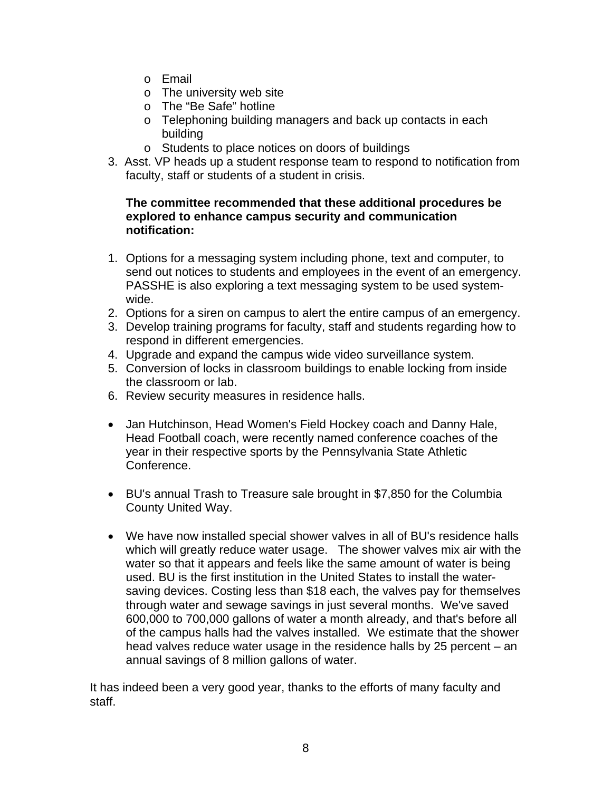- o Email
- o The university web site
- o The "Be Safe" hotline
- o Telephoning building managers and back up contacts in each building
- o Students to place notices on doors of buildings
- 3. Asst. VP heads up a student response team to respond to notification from faculty, staff or students of a student in crisis.

## **The committee recommended that these additional procedures be explored to enhance campus security and communication notification:**

- 1. Options for a messaging system including phone, text and computer, to send out notices to students and employees in the event of an emergency. PASSHE is also exploring a text messaging system to be used systemwide.
- 2. Options for a siren on campus to alert the entire campus of an emergency.
- 3. Develop training programs for faculty, staff and students regarding how to respond in different emergencies.
- 4. Upgrade and expand the campus wide video surveillance system.
- 5. Conversion of locks in classroom buildings to enable locking from inside the classroom or lab.
- 6. Review security measures in residence halls.
- Jan Hutchinson, Head Women's Field Hockey coach and Danny Hale, Head Football coach, were recently named conference coaches of the year in their respective sports by the Pennsylvania State Athletic Conference.
- BU's annual Trash to Treasure sale brought in \$7,850 for the Columbia County United Way.
- We have now installed special shower valves in all of BU's residence halls which will greatly reduce water usage. The shower valves mix air with the water so that it appears and feels like the same amount of water is being used. BU is the first institution in the United States to install the watersaving devices. Costing less than \$18 each, the valves pay for themselves through water and sewage savings in just several months. We've saved 600,000 to 700,000 gallons of water a month already, and that's before all of the campus halls had the valves installed. We estimate that the shower head valves reduce water usage in the residence halls by 25 percent – an annual savings of 8 million gallons of water.

It has indeed been a very good year, thanks to the efforts of many faculty and staff.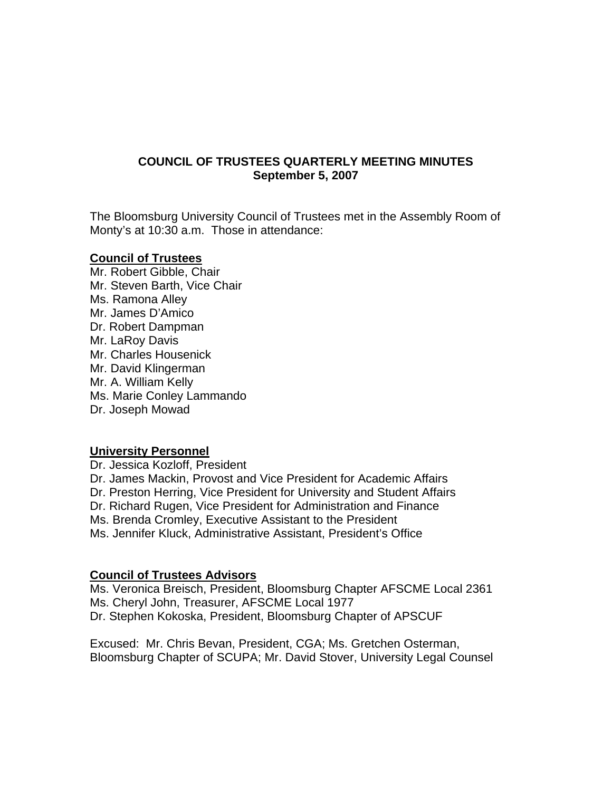## **COUNCIL OF TRUSTEES QUARTERLY MEETING MINUTES September 5, 2007**

The Bloomsburg University Council of Trustees met in the Assembly Room of Monty's at 10:30 a.m. Those in attendance:

#### **Council of Trustees**

Mr. Robert Gibble, Chair Mr. Steven Barth, Vice Chair Ms. Ramona Alley Mr. James D'Amico Dr. Robert Dampman Mr. LaRoy Davis Mr. Charles Housenick Mr. David Klingerman Mr. A. William Kelly Ms. Marie Conley Lammando Dr. Joseph Mowad

#### **University Personnel**

Dr. Jessica Kozloff, President Dr. James Mackin, Provost and Vice President for Academic Affairs Dr. Preston Herring, Vice President for University and Student Affairs Dr. Richard Rugen, Vice President for Administration and Finance Ms. Brenda Cromley, Executive Assistant to the President Ms. Jennifer Kluck, Administrative Assistant, President's Office

#### **Council of Trustees Advisors**

Ms. Veronica Breisch, President, Bloomsburg Chapter AFSCME Local 2361 Ms. Cheryl John, Treasurer, AFSCME Local 1977 Dr. Stephen Kokoska, President, Bloomsburg Chapter of APSCUF

Excused: Mr. Chris Bevan, President, CGA; Ms. Gretchen Osterman, Bloomsburg Chapter of SCUPA; Mr. David Stover, University Legal Counsel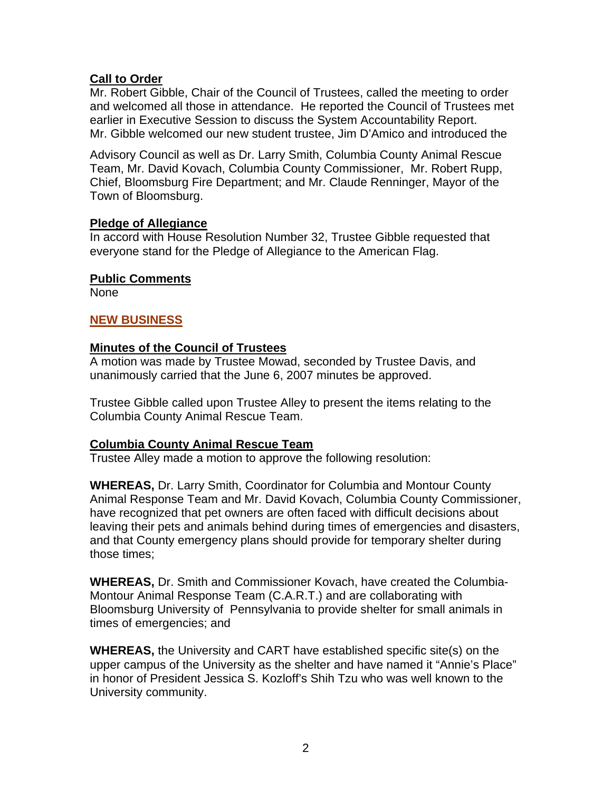## **Call to Order**

Mr. Robert Gibble, Chair of the Council of Trustees, called the meeting to order and welcomed all those in attendance. He reported the Council of Trustees met earlier in Executive Session to discuss the System Accountability Report. Mr. Gibble welcomed our new student trustee, Jim D'Amico and introduced the

Advisory Council as well as Dr. Larry Smith, Columbia County Animal Rescue Team, Mr. David Kovach, Columbia County Commissioner, Mr. Robert Rupp, Chief, Bloomsburg Fire Department; and Mr. Claude Renninger, Mayor of the Town of Bloomsburg.

## **Pledge of Allegiance**

In accord with House Resolution Number 32, Trustee Gibble requested that everyone stand for the Pledge of Allegiance to the American Flag.

## **Public Comments**

None

# **NEW BUSINESS**

## **Minutes of the Council of Trustees**

A motion was made by Trustee Mowad, seconded by Trustee Davis, and unanimously carried that the June 6, 2007 minutes be approved.

Trustee Gibble called upon Trustee Alley to present the items relating to the Columbia County Animal Rescue Team.

## **Columbia County Animal Rescue Team**

Trustee Alley made a motion to approve the following resolution:

**WHEREAS,** Dr. Larry Smith, Coordinator for Columbia and Montour County Animal Response Team and Mr. David Kovach, Columbia County Commissioner, have recognized that pet owners are often faced with difficult decisions about leaving their pets and animals behind during times of emergencies and disasters, and that County emergency plans should provide for temporary shelter during those times;

**WHEREAS,** Dr. Smith and Commissioner Kovach, have created the Columbia-Montour Animal Response Team (C.A.R.T.) and are collaborating with Bloomsburg University of Pennsylvania to provide shelter for small animals in times of emergencies; and

**WHEREAS,** the University and CART have established specific site(s) on the upper campus of the University as the shelter and have named it "Annie's Place" in honor of President Jessica S. Kozloff's Shih Tzu who was well known to the University community.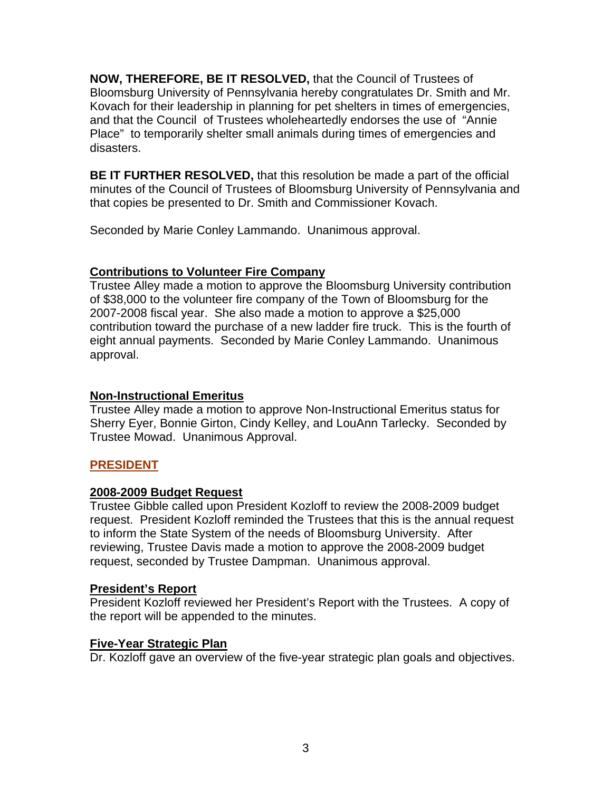**NOW, THEREFORE, BE IT RESOLVED,** that the Council of Trustees of Bloomsburg University of Pennsylvania hereby congratulates Dr. Smith and Mr. Kovach for their leadership in planning for pet shelters in times of emergencies, and that the Council of Trustees wholeheartedly endorses the use of "Annie Place" to temporarily shelter small animals during times of emergencies and disasters.

**BE IT FURTHER RESOLVED,** that this resolution be made a part of the official minutes of the Council of Trustees of Bloomsburg University of Pennsylvania and that copies be presented to Dr. Smith and Commissioner Kovach.

Seconded by Marie Conley Lammando. Unanimous approval.

# **Contributions to Volunteer Fire Company**

Trustee Alley made a motion to approve the Bloomsburg University contribution of \$38,000 to the volunteer fire company of the Town of Bloomsburg for the 2007-2008 fiscal year. She also made a motion to approve a \$25,000 contribution toward the purchase of a new ladder fire truck. This is the fourth of eight annual payments. Seconded by Marie Conley Lammando. Unanimous approval.

# **Non-Instructional Emeritus**

Trustee Alley made a motion to approve Non-Instructional Emeritus status for Sherry Eyer, Bonnie Girton, Cindy Kelley, and LouAnn Tarlecky. Seconded by Trustee Mowad. Unanimous Approval.

# **PRESIDENT**

# **2008-2009 Budget Request**

Trustee Gibble called upon President Kozloff to review the 2008-2009 budget request. President Kozloff reminded the Trustees that this is the annual request to inform the State System of the needs of Bloomsburg University. After reviewing, Trustee Davis made a motion to approve the 2008-2009 budget request, seconded by Trustee Dampman. Unanimous approval.

# **President's Report**

President Kozloff reviewed her President's Report with the Trustees. A copy of the report will be appended to the minutes.

# **Five-Year Strategic Plan**

Dr. Kozloff gave an overview of the five-year strategic plan goals and objectives.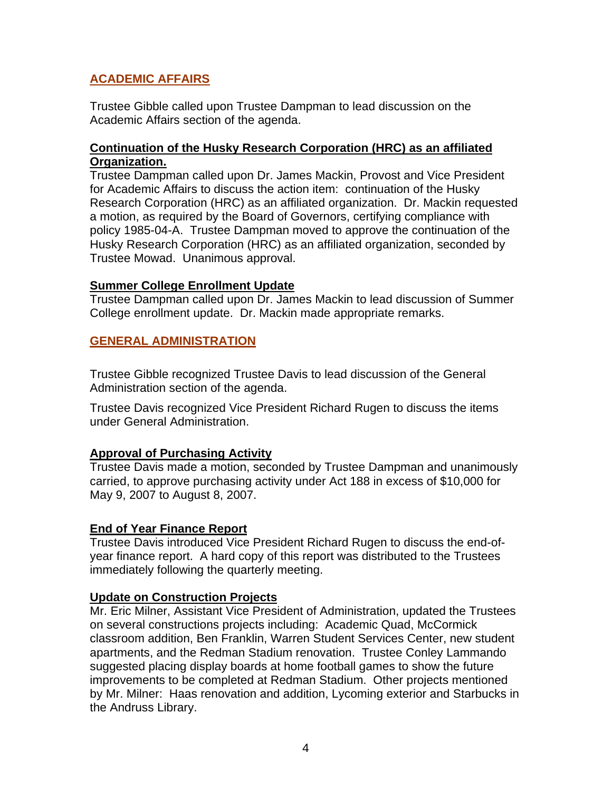## **ACADEMIC AFFAIRS**

Trustee Gibble called upon Trustee Dampman to lead discussion on the Academic Affairs section of the agenda.

## **Continuation of the Husky Research Corporation (HRC) as an affiliated Organization.**

Trustee Dampman called upon Dr. James Mackin, Provost and Vice President for Academic Affairs to discuss the action item: continuation of the Husky Research Corporation (HRC) as an affiliated organization. Dr. Mackin requested a motion, as required by the Board of Governors, certifying compliance with policy 1985-04-A. Trustee Dampman moved to approve the continuation of the Husky Research Corporation (HRC) as an affiliated organization, seconded by Trustee Mowad. Unanimous approval.

#### **Summer College Enrollment Update**

Trustee Dampman called upon Dr. James Mackin to lead discussion of Summer College enrollment update. Dr. Mackin made appropriate remarks.

## **GENERAL ADMINISTRATION**

Trustee Gibble recognized Trustee Davis to lead discussion of the General Administration section of the agenda.

Trustee Davis recognized Vice President Richard Rugen to discuss the items under General Administration.

## **Approval of Purchasing Activity**

Trustee Davis made a motion, seconded by Trustee Dampman and unanimously carried, to approve purchasing activity under Act 188 in excess of \$10,000 for May 9, 2007 to August 8, 2007.

## **End of Year Finance Report**

Trustee Davis introduced Vice President Richard Rugen to discuss the end-ofyear finance report. A hard copy of this report was distributed to the Trustees immediately following the quarterly meeting.

## **Update on Construction Projects**

Mr. Eric Milner, Assistant Vice President of Administration, updated the Trustees on several constructions projects including: Academic Quad, McCormick classroom addition, Ben Franklin, Warren Student Services Center, new student apartments, and the Redman Stadium renovation. Trustee Conley Lammando suggested placing display boards at home football games to show the future improvements to be completed at Redman Stadium. Other projects mentioned by Mr. Milner: Haas renovation and addition, Lycoming exterior and Starbucks in the Andruss Library.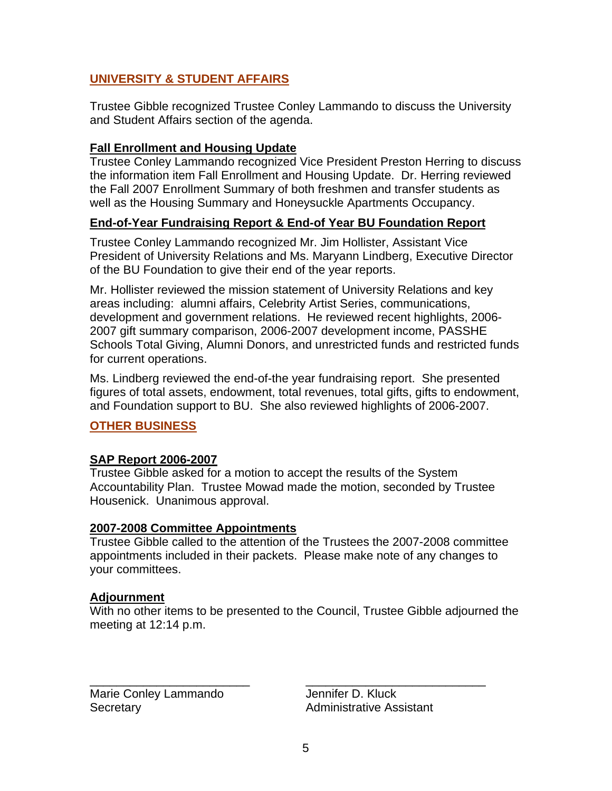# **UNIVERSITY & STUDENT AFFAIRS**

Trustee Gibble recognized Trustee Conley Lammando to discuss the University and Student Affairs section of the agenda.

## **Fall Enrollment and Housing Update**

Trustee Conley Lammando recognized Vice President Preston Herring to discuss the information item Fall Enrollment and Housing Update. Dr. Herring reviewed the Fall 2007 Enrollment Summary of both freshmen and transfer students as well as the Housing Summary and Honeysuckle Apartments Occupancy.

## **End-of-Year Fundraising Report & End-of Year BU Foundation Report**

Trustee Conley Lammando recognized Mr. Jim Hollister, Assistant Vice President of University Relations and Ms. Maryann Lindberg, Executive Director of the BU Foundation to give their end of the year reports.

Mr. Hollister reviewed the mission statement of University Relations and key areas including: alumni affairs, Celebrity Artist Series, communications, development and government relations. He reviewed recent highlights, 2006- 2007 gift summary comparison, 2006-2007 development income, PASSHE Schools Total Giving, Alumni Donors, and unrestricted funds and restricted funds for current operations.

Ms. Lindberg reviewed the end-of-the year fundraising report. She presented figures of total assets, endowment, total revenues, total gifts, gifts to endowment, and Foundation support to BU. She also reviewed highlights of 2006-2007.

# **OTHER BUSINESS**

## **SAP Report 2006-2007**

Trustee Gibble asked for a motion to accept the results of the System Accountability Plan. Trustee Mowad made the motion, seconded by Trustee Housenick. Unanimous approval.

## **2007-2008 Committee Appointments**

Trustee Gibble called to the attention of the Trustees the 2007-2008 committee appointments included in their packets. Please make note of any changes to your committees.

## **Adjournment**

With no other items to be presented to the Council, Trustee Gibble adjourned the meeting at 12:14 p.m.

\_\_\_\_\_\_\_\_\_\_\_\_\_\_\_\_\_\_\_\_\_\_\_\_ \_\_\_\_\_\_\_\_\_\_\_\_\_\_\_\_\_\_\_\_\_\_\_\_\_\_\_

Marie Conley Lammando Jennifer D. Kluck Secretary **Administrative Assistant**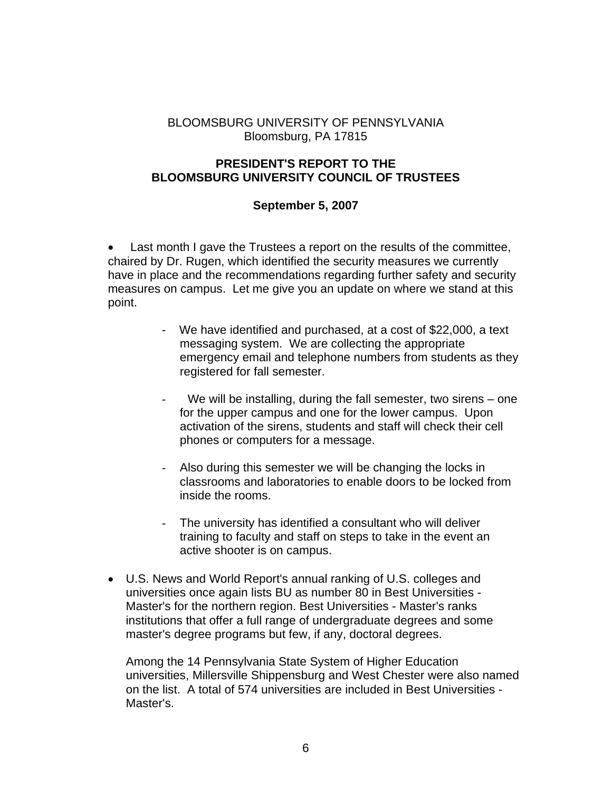## BLOOMSBURG UNIVERSITY OF PENNSYLVANIA Bloomsburg, PA 17815

## **PRESIDENT'S REPORT TO THE BLOOMSBURG UNIVERSITY COUNCIL OF TRUSTEES**

## **September 5, 2007**

• Last month I gave the Trustees a report on the results of the committee, chaired by Dr. Rugen, which identified the security measures we currently have in place and the recommendations regarding further safety and security measures on campus. Let me give you an update on where we stand at this point.

- We have identified and purchased, at a cost of \$22,000, a text messaging system. We are collecting the appropriate emergency email and telephone numbers from students as they registered for fall semester.
- We will be installing, during the fall semester, two sirens  $-$  one for the upper campus and one for the lower campus. Upon activation of the sirens, students and staff will check their cell phones or computers for a message.
- Also during this semester we will be changing the locks in classrooms and laboratories to enable doors to be locked from inside the rooms.
- The university has identified a consultant who will deliver training to faculty and staff on steps to take in the event an active shooter is on campus.
- U.S. News and World Report's annual ranking of U.S. colleges and universities once again lists BU as number 80 in Best Universities - Master's for the northern region. Best Universities - Master's ranks institutions that offer a full range of undergraduate degrees and some master's degree programs but few, if any, doctoral degrees.

Among the 14 Pennsylvania State System of Higher Education universities, Millersville Shippensburg and West Chester were also named on the list. A total of 574 universities are included in Best Universities - Master's.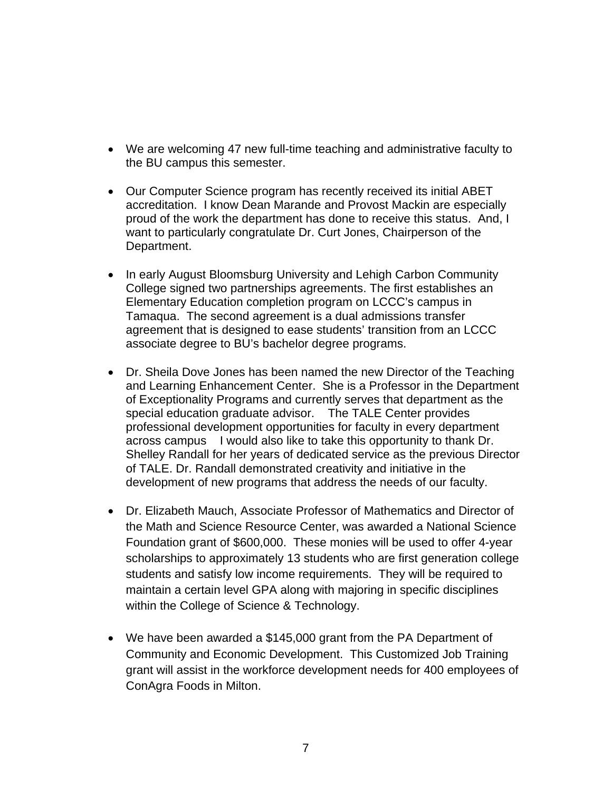- We are welcoming 47 new full-time teaching and administrative faculty to the BU campus this semester.
- Our Computer Science program has recently received its initial ABET accreditation. I know Dean Marande and Provost Mackin are especially proud of the work the department has done to receive this status. And, I want to particularly congratulate Dr. Curt Jones, Chairperson of the Department.
- In early August Bloomsburg University and Lehigh Carbon Community College signed two partnerships agreements. The first establishes an Elementary Education completion program on LCCC's campus in Tamaqua. The second agreement is a dual admissions transfer agreement that is designed to ease students' transition from an LCCC associate degree to BU's bachelor degree programs.
- Dr. Sheila Dove Jones has been named the new Director of the Teaching and Learning Enhancement Center. She is a Professor in the Department of Exceptionality Programs and currently serves that department as the special education graduate advisor. The TALE Center provides professional development opportunities for faculty in every department across campus I would also like to take this opportunity to thank Dr. Shelley Randall for her years of dedicated service as the previous Director of TALE. Dr. Randall demonstrated creativity and initiative in the development of new programs that address the needs of our faculty.
- Dr. Elizabeth Mauch, Associate Professor of Mathematics and Director of the Math and Science Resource Center, was awarded a National Science Foundation grant of \$600,000. These monies will be used to offer 4-year scholarships to approximately 13 students who are first generation college students and satisfy low income requirements. They will be required to maintain a certain level GPA along with majoring in specific disciplines within the College of Science & Technology.
- We have been awarded a \$145,000 grant from the PA Department of Community and Economic Development. This Customized Job Training grant will assist in the workforce development needs for 400 employees of ConAgra Foods in Milton.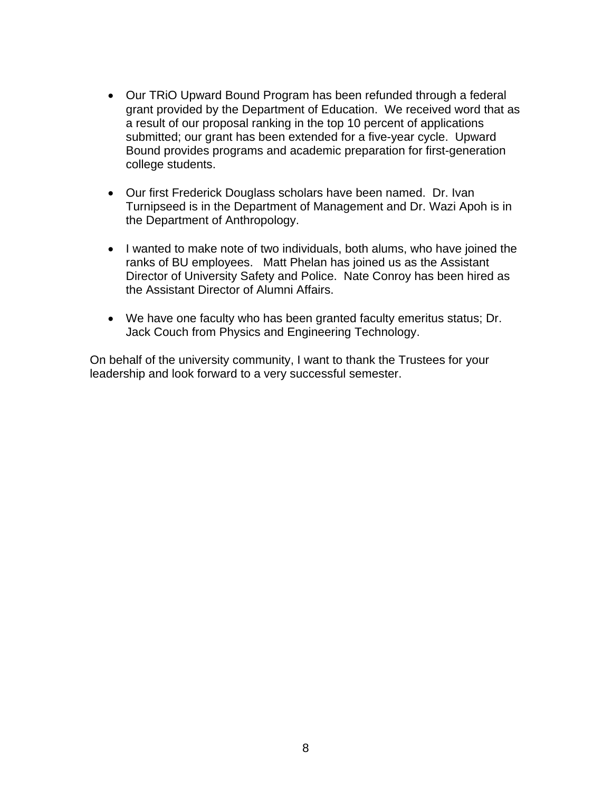- Our TRiO Upward Bound Program has been refunded through a federal grant provided by the Department of Education. We received word that as a result of our proposal ranking in the top 10 percent of applications submitted; our grant has been extended for a five-year cycle. Upward Bound provides programs and academic preparation for first-generation college students.
- Our first Frederick Douglass scholars have been named. Dr. Ivan Turnipseed is in the Department of Management and Dr. Wazi Apoh is in the Department of Anthropology.
- I wanted to make note of two individuals, both alums, who have joined the ranks of BU employees. Matt Phelan has joined us as the Assistant Director of University Safety and Police. Nate Conroy has been hired as the Assistant Director of Alumni Affairs.
- We have one faculty who has been granted faculty emeritus status; Dr. Jack Couch from Physics and Engineering Technology.

On behalf of the university community, I want to thank the Trustees for your leadership and look forward to a very successful semester.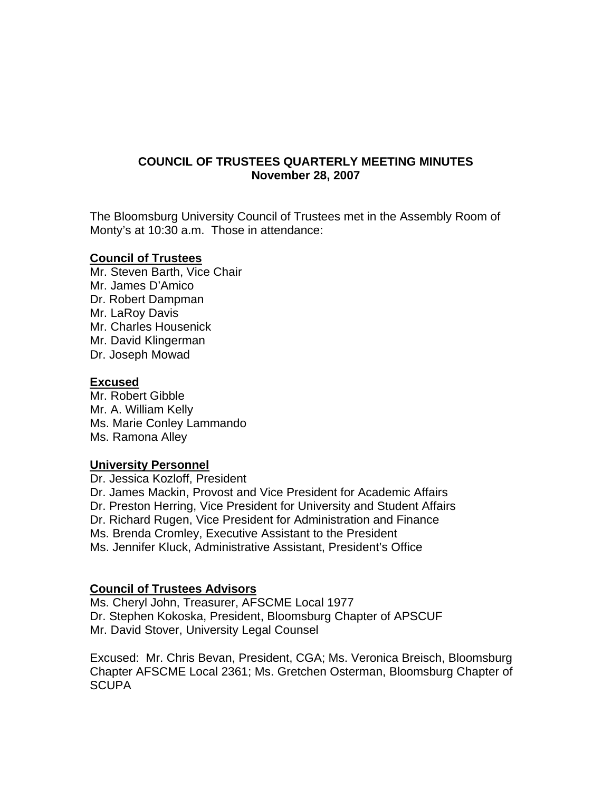## **COUNCIL OF TRUSTEES QUARTERLY MEETING MINUTES November 28, 2007**

The Bloomsburg University Council of Trustees met in the Assembly Room of Monty's at 10:30 a.m. Those in attendance:

## **Council of Trustees**

Mr. Steven Barth, Vice Chair Mr. James D'Amico Dr. Robert Dampman Mr. LaRoy Davis Mr. Charles Housenick Mr. David Klingerman Dr. Joseph Mowad

#### **Excused**

Mr. Robert Gibble Mr. A. William Kelly Ms. Marie Conley Lammando Ms. Ramona Alley

## **University Personnel**

Dr. Jessica Kozloff, President Dr. James Mackin, Provost and Vice President for Academic Affairs Dr. Preston Herring, Vice President for University and Student Affairs Dr. Richard Rugen, Vice President for Administration and Finance Ms. Brenda Cromley, Executive Assistant to the President Ms. Jennifer Kluck, Administrative Assistant, President's Office

## **Council of Trustees Advisors**

Ms. Cheryl John, Treasurer, AFSCME Local 1977 Dr. Stephen Kokoska, President, Bloomsburg Chapter of APSCUF Mr. David Stover, University Legal Counsel

Excused: Mr. Chris Bevan, President, CGA; Ms. Veronica Breisch, Bloomsburg Chapter AFSCME Local 2361; Ms. Gretchen Osterman, Bloomsburg Chapter of **SCUPA**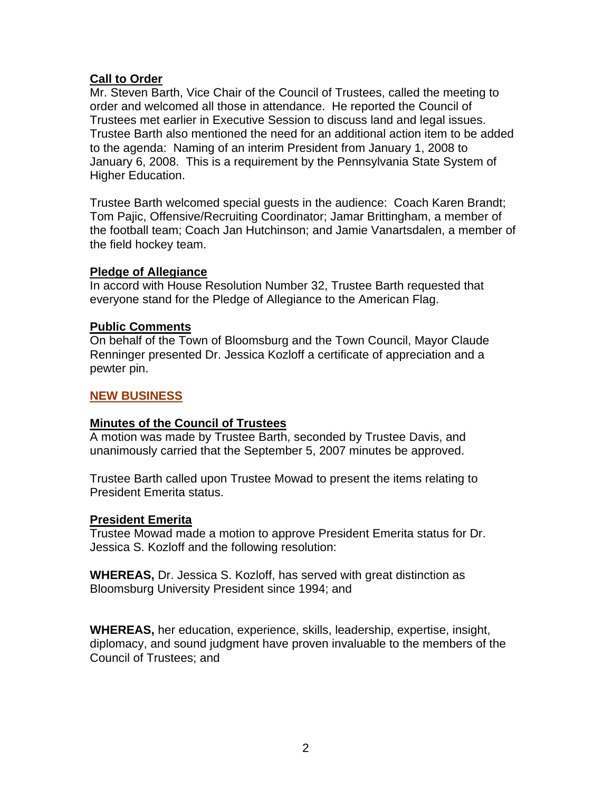## **Call to Order**

Mr. Steven Barth, Vice Chair of the Council of Trustees, called the meeting to order and welcomed all those in attendance. He reported the Council of Trustees met earlier in Executive Session to discuss land and legal issues. Trustee Barth also mentioned the need for an additional action item to be added to the agenda: Naming of an interim President from January 1, 2008 to January 6, 2008. This is a requirement by the Pennsylvania State System of Higher Education.

Trustee Barth welcomed special guests in the audience: Coach Karen Brandt; Tom Pajic, Offensive/Recruiting Coordinator; Jamar Brittingham, a member of the football team; Coach Jan Hutchinson; and Jamie Vanartsdalen, a member of the field hockey team.

## **Pledge of Allegiance**

In accord with House Resolution Number 32, Trustee Barth requested that everyone stand for the Pledge of Allegiance to the American Flag.

## **Public Comments**

On behalf of the Town of Bloomsburg and the Town Council, Mayor Claude Renninger presented Dr. Jessica Kozloff a certificate of appreciation and a pewter pin.

# **NEW BUSINESS**

## **Minutes of the Council of Trustees**

A motion was made by Trustee Barth, seconded by Trustee Davis, and unanimously carried that the September 5, 2007 minutes be approved.

Trustee Barth called upon Trustee Mowad to present the items relating to President Emerita status.

## **President Emerita**

Trustee Mowad made a motion to approve President Emerita status for Dr. Jessica S. Kozloff and the following resolution:

**WHEREAS,** Dr. Jessica S. Kozloff, has served with great distinction as Bloomsburg University President since 1994; and

**WHEREAS,** her education, experience, skills, leadership, expertise, insight, diplomacy, and sound judgment have proven invaluable to the members of the Council of Trustees; and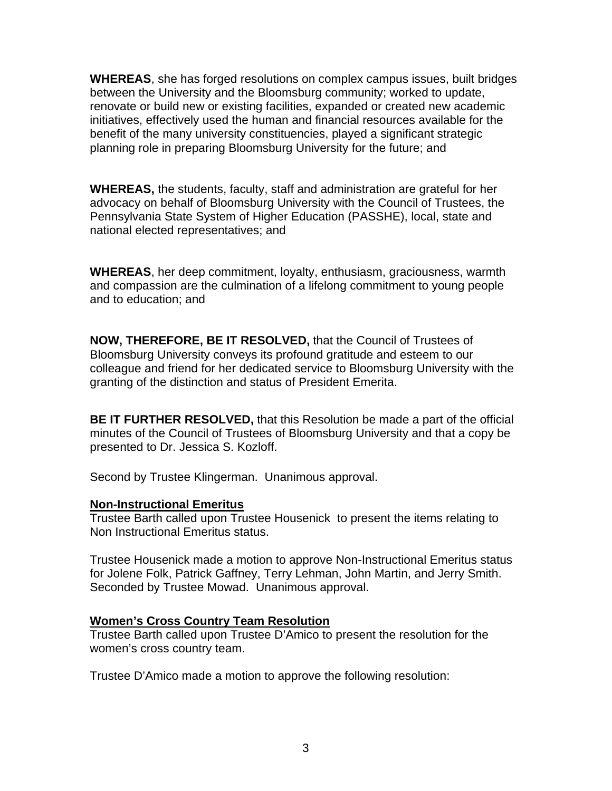**WHEREAS**, she has forged resolutions on complex campus issues, built bridges between the University and the Bloomsburg community; worked to update, renovate or build new or existing facilities, expanded or created new academic initiatives, effectively used the human and financial resources available for the benefit of the many university constituencies, played a significant strategic planning role in preparing Bloomsburg University for the future; and

**WHEREAS,** the students, faculty, staff and administration are grateful for her advocacy on behalf of Bloomsburg University with the Council of Trustees, the Pennsylvania State System of Higher Education (PASSHE), local, state and national elected representatives; and

**WHEREAS**, her deep commitment, loyalty, enthusiasm, graciousness, warmth and compassion are the culmination of a lifelong commitment to young people and to education; and

**NOW, THEREFORE, BE IT RESOLVED,** that the Council of Trustees of Bloomsburg University conveys its profound gratitude and esteem to our colleague and friend for her dedicated service to Bloomsburg University with the granting of the distinction and status of President Emerita.

**BE IT FURTHER RESOLVED,** that this Resolution be made a part of the official minutes of the Council of Trustees of Bloomsburg University and that a copy be presented to Dr. Jessica S. Kozloff.

Second by Trustee Klingerman. Unanimous approval.

## **Non-Instructional Emeritus**

Trustee Barth called upon Trustee Housenick to present the items relating to Non Instructional Emeritus status.

Trustee Housenick made a motion to approve Non-Instructional Emeritus status for Jolene Folk, Patrick Gaffney, Terry Lehman, John Martin, and Jerry Smith. Seconded by Trustee Mowad. Unanimous approval.

## **Women's Cross Country Team Resolution**

Trustee Barth called upon Trustee D'Amico to present the resolution for the women's cross country team.

Trustee D'Amico made a motion to approve the following resolution: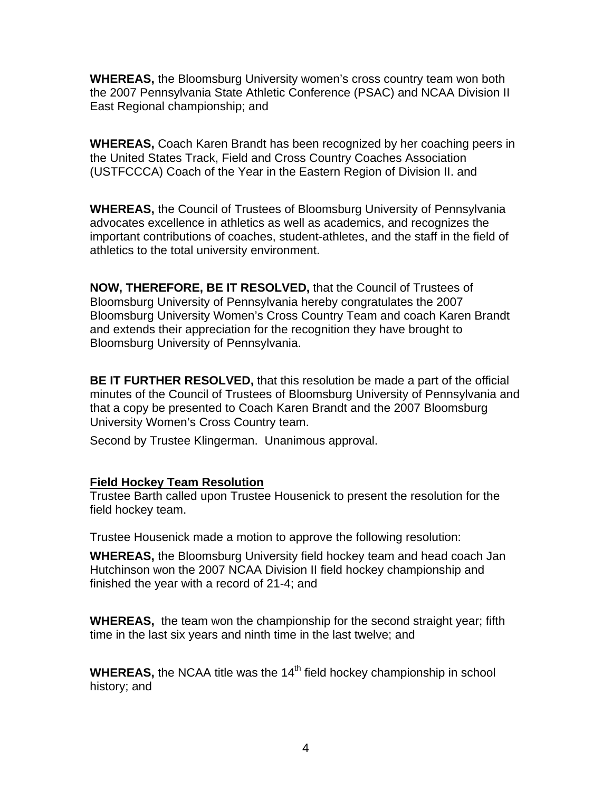**WHEREAS,** the Bloomsburg University women's cross country team won both the 2007 Pennsylvania State Athletic Conference (PSAC) and NCAA Division II East Regional championship; and

**WHEREAS,** Coach Karen Brandt has been recognized by her coaching peers in the United States Track, Field and Cross Country Coaches Association (USTFCCCA) Coach of the Year in the Eastern Region of Division II. and

**WHEREAS,** the Council of Trustees of Bloomsburg University of Pennsylvania advocates excellence in athletics as well as academics, and recognizes the important contributions of coaches, student-athletes, and the staff in the field of athletics to the total university environment.

**NOW, THEREFORE, BE IT RESOLVED,** that the Council of Trustees of Bloomsburg University of Pennsylvania hereby congratulates the 2007 Bloomsburg University Women's Cross Country Team and coach Karen Brandt and extends their appreciation for the recognition they have brought to Bloomsburg University of Pennsylvania.

**BE IT FURTHER RESOLVED,** that this resolution be made a part of the official minutes of the Council of Trustees of Bloomsburg University of Pennsylvania and that a copy be presented to Coach Karen Brandt and the 2007 Bloomsburg University Women's Cross Country team.

Second by Trustee Klingerman. Unanimous approval.

## **Field Hockey Team Resolution**

Trustee Barth called upon Trustee Housenick to present the resolution for the field hockey team.

Trustee Housenick made a motion to approve the following resolution:

**WHEREAS,** the Bloomsburg University field hockey team and head coach Jan Hutchinson won the 2007 NCAA Division II field hockey championship and finished the year with a record of 21-4; and

**WHEREAS,** the team won the championship for the second straight year; fifth time in the last six years and ninth time in the last twelve; and

**WHEREAS,** the NCAA title was the 14<sup>th</sup> field hockey championship in school history; and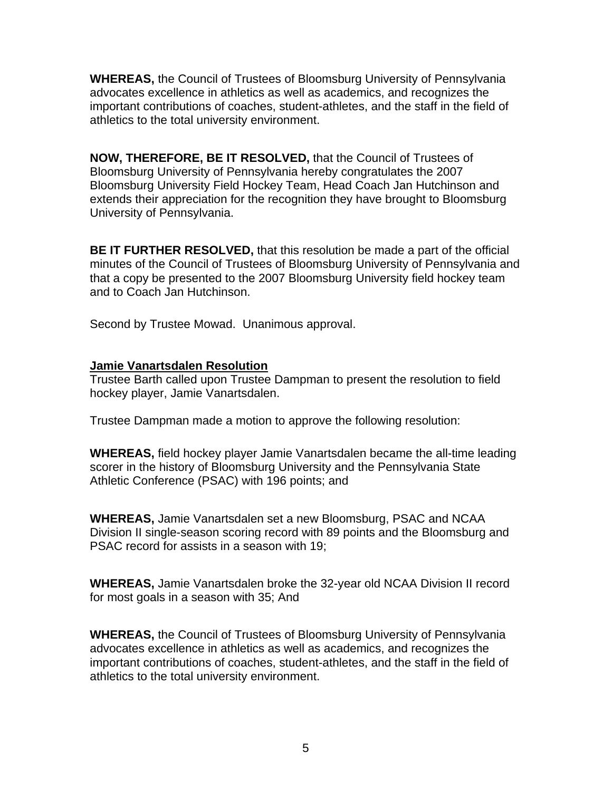**WHEREAS,** the Council of Trustees of Bloomsburg University of Pennsylvania advocates excellence in athletics as well as academics, and recognizes the important contributions of coaches, student-athletes, and the staff in the field of athletics to the total university environment.

**NOW, THEREFORE, BE IT RESOLVED,** that the Council of Trustees of Bloomsburg University of Pennsylvania hereby congratulates the 2007 Bloomsburg University Field Hockey Team, Head Coach Jan Hutchinson and extends their appreciation for the recognition they have brought to Bloomsburg University of Pennsylvania.

**BE IT FURTHER RESOLVED,** that this resolution be made a part of the official minutes of the Council of Trustees of Bloomsburg University of Pennsylvania and that a copy be presented to the 2007 Bloomsburg University field hockey team and to Coach Jan Hutchinson.

Second by Trustee Mowad. Unanimous approval.

## **Jamie Vanartsdalen Resolution**

Trustee Barth called upon Trustee Dampman to present the resolution to field hockey player, Jamie Vanartsdalen.

Trustee Dampman made a motion to approve the following resolution:

**WHEREAS,** field hockey player Jamie Vanartsdalen became the all-time leading scorer in the history of Bloomsburg University and the Pennsylvania State Athletic Conference (PSAC) with 196 points; and

**WHEREAS,** Jamie Vanartsdalen set a new Bloomsburg, PSAC and NCAA Division II single-season scoring record with 89 points and the Bloomsburg and PSAC record for assists in a season with 19;

**WHEREAS,** Jamie Vanartsdalen broke the 32-year old NCAA Division II record for most goals in a season with 35; And

**WHEREAS,** the Council of Trustees of Bloomsburg University of Pennsylvania advocates excellence in athletics as well as academics, and recognizes the important contributions of coaches, student-athletes, and the staff in the field of athletics to the total university environment.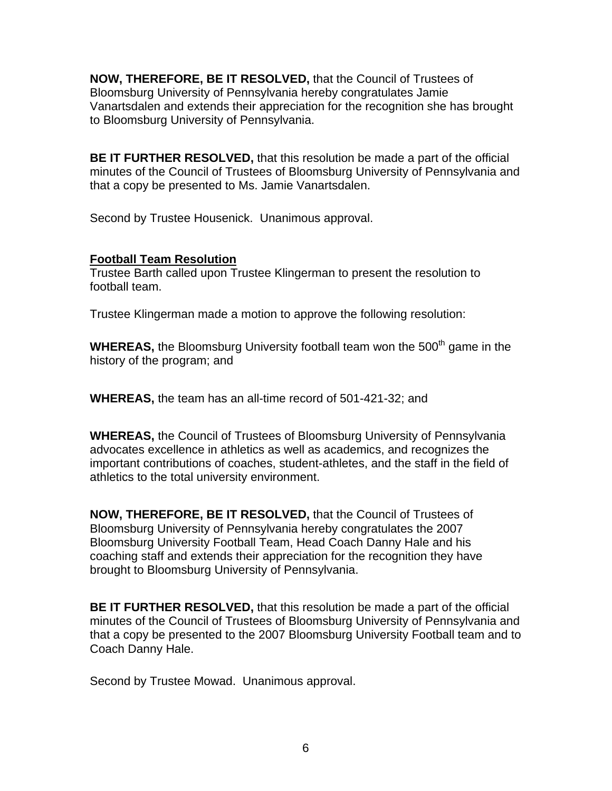**NOW, THEREFORE, BE IT RESOLVED,** that the Council of Trustees of Bloomsburg University of Pennsylvania hereby congratulates Jamie Vanartsdalen and extends their appreciation for the recognition she has brought to Bloomsburg University of Pennsylvania.

**BE IT FURTHER RESOLVED,** that this resolution be made a part of the official minutes of the Council of Trustees of Bloomsburg University of Pennsylvania and that a copy be presented to Ms. Jamie Vanartsdalen.

Second by Trustee Housenick. Unanimous approval.

# **Football Team Resolution**

Trustee Barth called upon Trustee Klingerman to present the resolution to football team.

Trustee Klingerman made a motion to approve the following resolution:

**WHEREAS,** the Bloomsburg University football team won the 500<sup>th</sup> game in the history of the program; and

**WHEREAS,** the team has an all-time record of 501-421-32; and

**WHEREAS,** the Council of Trustees of Bloomsburg University of Pennsylvania advocates excellence in athletics as well as academics, and recognizes the important contributions of coaches, student-athletes, and the staff in the field of athletics to the total university environment.

**NOW, THEREFORE, BE IT RESOLVED,** that the Council of Trustees of Bloomsburg University of Pennsylvania hereby congratulates the 2007 Bloomsburg University Football Team, Head Coach Danny Hale and his coaching staff and extends their appreciation for the recognition they have brought to Bloomsburg University of Pennsylvania.

**BE IT FURTHER RESOLVED,** that this resolution be made a part of the official minutes of the Council of Trustees of Bloomsburg University of Pennsylvania and that a copy be presented to the 2007 Bloomsburg University Football team and to Coach Danny Hale.

Second by Trustee Mowad. Unanimous approval.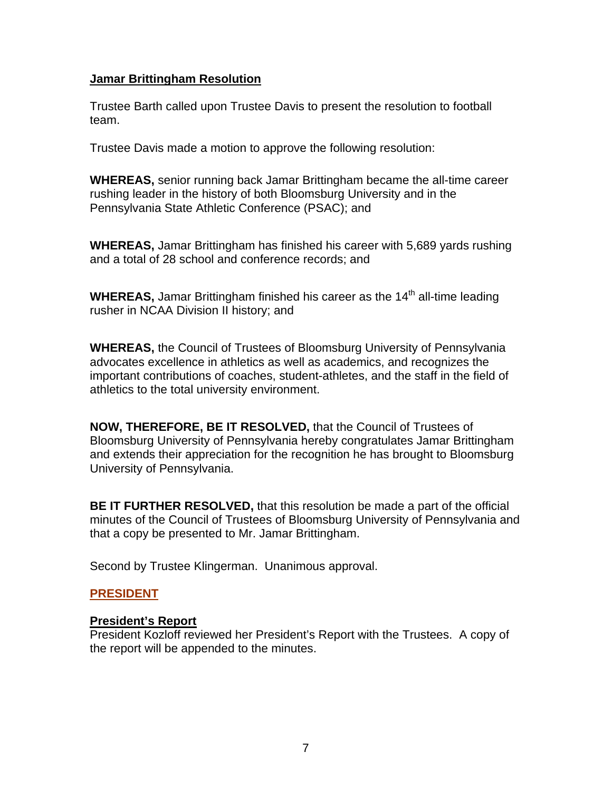#### **Jamar Brittingham Resolution**

Trustee Barth called upon Trustee Davis to present the resolution to football team.

Trustee Davis made a motion to approve the following resolution:

**WHEREAS,** senior running back Jamar Brittingham became the all-time career rushing leader in the history of both Bloomsburg University and in the Pennsylvania State Athletic Conference (PSAC); and

**WHEREAS,** Jamar Brittingham has finished his career with 5,689 yards rushing and a total of 28 school and conference records; and

**WHEREAS,** Jamar Brittingham finished his career as the 14<sup>th</sup> all-time leading rusher in NCAA Division II history; and

**WHEREAS,** the Council of Trustees of Bloomsburg University of Pennsylvania advocates excellence in athletics as well as academics, and recognizes the important contributions of coaches, student-athletes, and the staff in the field of athletics to the total university environment.

**NOW, THEREFORE, BE IT RESOLVED,** that the Council of Trustees of Bloomsburg University of Pennsylvania hereby congratulates Jamar Brittingham and extends their appreciation for the recognition he has brought to Bloomsburg University of Pennsylvania.

**BE IT FURTHER RESOLVED,** that this resolution be made a part of the official minutes of the Council of Trustees of Bloomsburg University of Pennsylvania and that a copy be presented to Mr. Jamar Brittingham.

Second by Trustee Klingerman. Unanimous approval.

## **PRESIDENT**

#### **President's Report**

President Kozloff reviewed her President's Report with the Trustees. A copy of the report will be appended to the minutes.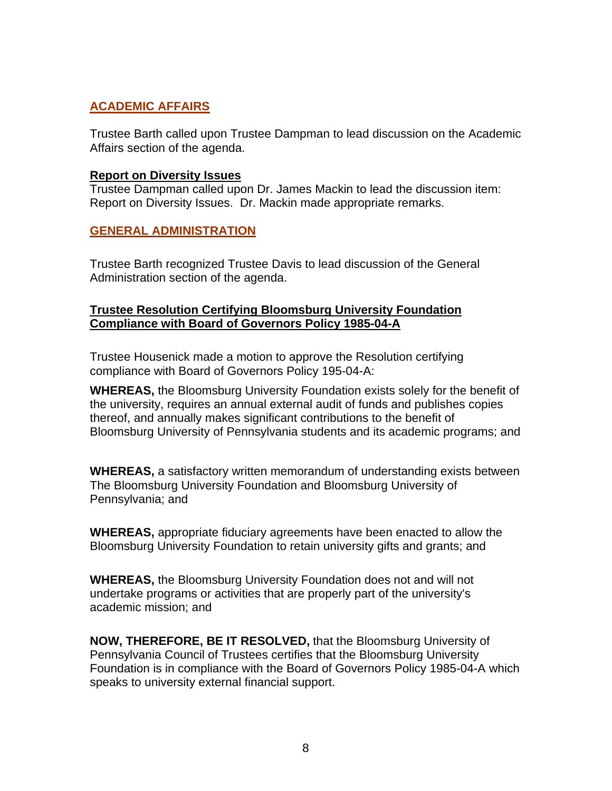# **ACADEMIC AFFAIRS**

Trustee Barth called upon Trustee Dampman to lead discussion on the Academic Affairs section of the agenda.

#### **Report on Diversity Issues**

Trustee Dampman called upon Dr. James Mackin to lead the discussion item: Report on Diversity Issues. Dr. Mackin made appropriate remarks.

## **GENERAL ADMINISTRATION**

Trustee Barth recognized Trustee Davis to lead discussion of the General Administration section of the agenda.

## **Trustee Resolution Certifying Bloomsburg University Foundation Compliance with Board of Governors Policy 1985-04-A**

Trustee Housenick made a motion to approve the Resolution certifying compliance with Board of Governors Policy 195-04-A:

**WHEREAS,** the Bloomsburg University Foundation exists solely for the benefit of the university, requires an annual external audit of funds and publishes copies thereof, and annually makes significant contributions to the benefit of Bloomsburg University of Pennsylvania students and its academic programs; and

**WHEREAS,** a satisfactory written memorandum of understanding exists between The Bloomsburg University Foundation and Bloomsburg University of Pennsylvania; and

**WHEREAS,** appropriate fiduciary agreements have been enacted to allow the Bloomsburg University Foundation to retain university gifts and grants; and

**WHEREAS,** the Bloomsburg University Foundation does not and will not undertake programs or activities that are properly part of the university's academic mission; and

**NOW, THEREFORE, BE IT RESOLVED,** that the Bloomsburg University of Pennsylvania Council of Trustees certifies that the Bloomsburg University Foundation is in compliance with the Board of Governors Policy 1985-04-A which speaks to university external financial support.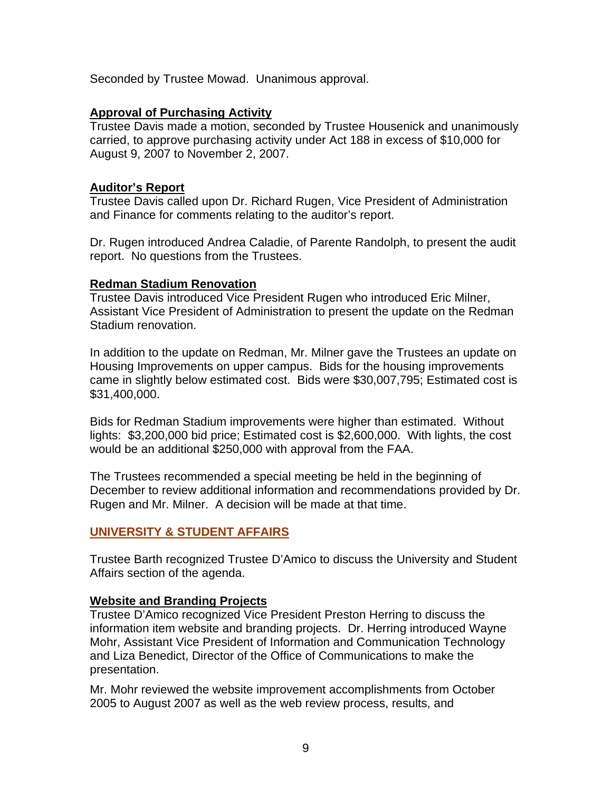Seconded by Trustee Mowad. Unanimous approval.

## **Approval of Purchasing Activity**

Trustee Davis made a motion, seconded by Trustee Housenick and unanimously carried, to approve purchasing activity under Act 188 in excess of \$10,000 for August 9, 2007 to November 2, 2007.

## **Auditor's Report**

Trustee Davis called upon Dr. Richard Rugen, Vice President of Administration and Finance for comments relating to the auditor's report.

Dr. Rugen introduced Andrea Caladie, of Parente Randolph, to present the audit report. No questions from the Trustees.

## **Redman Stadium Renovation**

Trustee Davis introduced Vice President Rugen who introduced Eric Milner, Assistant Vice President of Administration to present the update on the Redman Stadium renovation.

In addition to the update on Redman, Mr. Milner gave the Trustees an update on Housing Improvements on upper campus. Bids for the housing improvements came in slightly below estimated cost. Bids were \$30,007,795; Estimated cost is \$31,400,000.

Bids for Redman Stadium improvements were higher than estimated. Without lights: \$3,200,000 bid price; Estimated cost is \$2,600,000. With lights, the cost would be an additional \$250,000 with approval from the FAA.

The Trustees recommended a special meeting be held in the beginning of December to review additional information and recommendations provided by Dr. Rugen and Mr. Milner. A decision will be made at that time.

# **UNIVERSITY & STUDENT AFFAIRS**

Trustee Barth recognized Trustee D'Amico to discuss the University and Student Affairs section of the agenda.

# **Website and Branding Projects**

Trustee D'Amico recognized Vice President Preston Herring to discuss the information item website and branding projects. Dr. Herring introduced Wayne Mohr, Assistant Vice President of Information and Communication Technology and Liza Benedict, Director of the Office of Communications to make the presentation.

Mr. Mohr reviewed the website improvement accomplishments from October 2005 to August 2007 as well as the web review process, results, and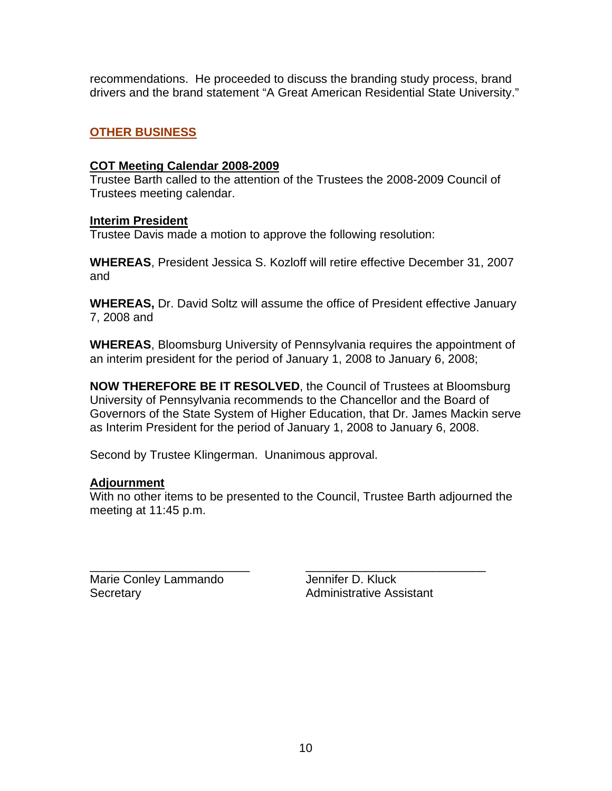recommendations. He proceeded to discuss the branding study process, brand drivers and the brand statement "A Great American Residential State University."

## **OTHER BUSINESS**

#### **COT Meeting Calendar 2008-2009**

Trustee Barth called to the attention of the Trustees the 2008-2009 Council of Trustees meeting calendar.

#### **Interim President**

Trustee Davis made a motion to approve the following resolution:

**WHEREAS**, President Jessica S. Kozloff will retire effective December 31, 2007 and

**WHEREAS,** Dr. David Soltz will assume the office of President effective January 7, 2008 and

**WHEREAS**, Bloomsburg University of Pennsylvania requires the appointment of an interim president for the period of January 1, 2008 to January 6, 2008;

**NOW THEREFORE BE IT RESOLVED**, the Council of Trustees at Bloomsburg University of Pennsylvania recommends to the Chancellor and the Board of Governors of the State System of Higher Education, that Dr. James Mackin serve as Interim President for the period of January 1, 2008 to January 6, 2008.

Second by Trustee Klingerman. Unanimous approval.

## **Adjournment**

With no other items to be presented to the Council, Trustee Barth adjourned the meeting at 11:45 p.m.

\_\_\_\_\_\_\_\_\_\_\_\_\_\_\_\_\_\_\_\_\_\_\_\_ \_\_\_\_\_\_\_\_\_\_\_\_\_\_\_\_\_\_\_\_\_\_\_\_\_\_\_ Marie Conley Lammando Jennifer D. Kluck Secretary **Administrative Assistant**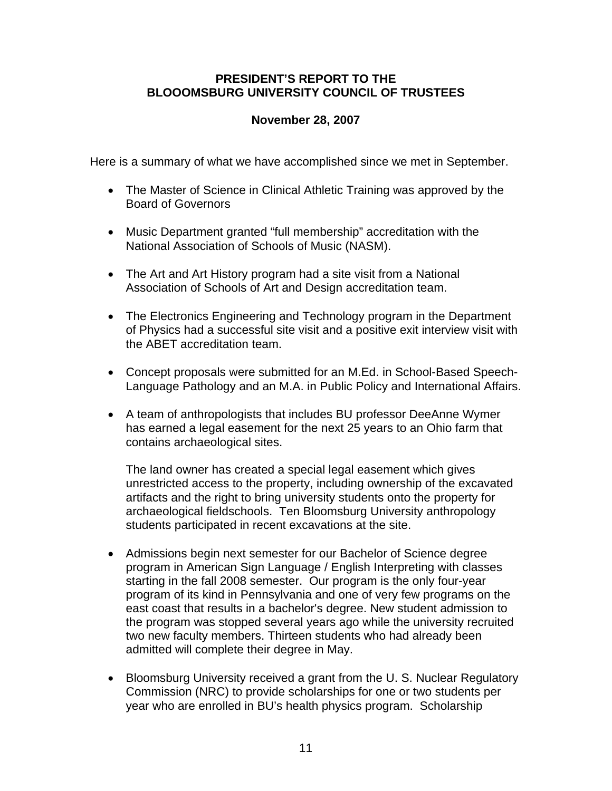## **PRESIDENT'S REPORT TO THE BLOOOMSBURG UNIVERSITY COUNCIL OF TRUSTEES**

# **November 28, 2007**

Here is a summary of what we have accomplished since we met in September.

- The Master of Science in Clinical Athletic Training was approved by the Board of Governors
- Music Department granted "full membership" accreditation with the National Association of Schools of Music (NASM).
- The Art and Art History program had a site visit from a National Association of Schools of Art and Design accreditation team.
- The Electronics Engineering and Technology program in the Department of Physics had a successful site visit and a positive exit interview visit with the ABET accreditation team.
- Concept proposals were submitted for an M.Ed. in School-Based Speech-Language Pathology and an M.A. in Public Policy and International Affairs.
- A team of anthropologists that includes BU professor DeeAnne Wymer has earned a legal easement for the next 25 years to an Ohio farm that contains archaeological sites.

The land owner has created a special legal easement which gives unrestricted access to the property, including ownership of the excavated artifacts and the right to bring university students onto the property for archaeological fieldschools. Ten Bloomsburg University anthropology students participated in recent excavations at the site.

- Admissions begin next semester for our Bachelor of Science degree program in American Sign Language / English Interpreting with classes starting in the fall 2008 semester. Our program is the only four-year program of its kind in Pennsylvania and one of very few programs on the east coast that results in a bachelor's degree. New student admission to the program was stopped several years ago while the university recruited two new faculty members. Thirteen students who had already been admitted will complete their degree in May.
- Bloomsburg University received a grant from the U. S. Nuclear Regulatory Commission (NRC) to provide scholarships for one or two students per year who are enrolled in BU's health physics program. Scholarship